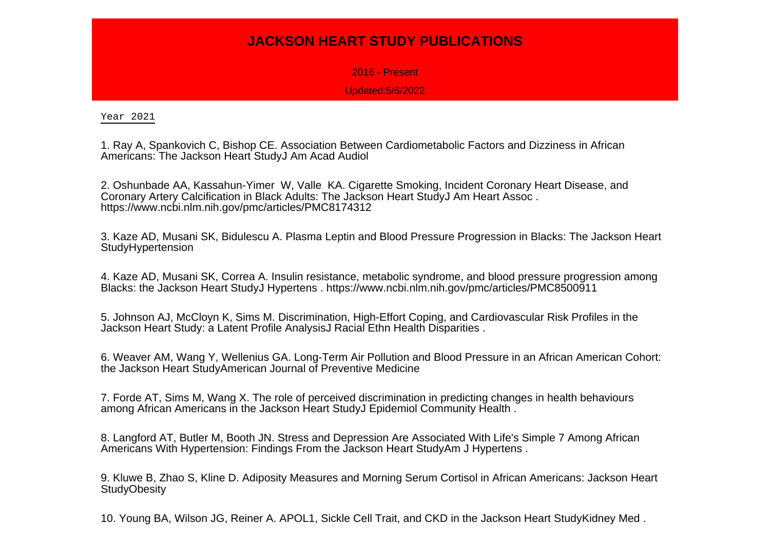## **JACKSON HEART STUDY PUBLICATIONS**

2016 - Present

Updated:5/6/2022

Year 2021

1. Ray A, Spankovich C, Bishop CE. Association Between Cardiometabolic Factors and Dizziness in AfricanAmericans: The Jackson Heart StudyJ Am Acad Audiol

2. Oshunbade AA, Kassahun-Yimer W, Valle KA. Cigarette Smoking, Incident Coronary Heart Disease, andCoronary Artery Calcification in Black Adults: The Jackson Heart StudyJ Am Heart Assoc .https://www.ncbi.nlm.nih.gov/pmc/articles/PMC8174312

3. Kaze AD, Musani SK, Bidulescu A. Plasma Leptin and Blood Pressure Progression in Blacks: The Jackson HeartStudyHypertension

4. Kaze AD, Musani SK, Correa A. Insulin resistance, metabolic syndrome, and blood pressure progression amongBlacks: the Jackson Heart StudyJ Hypertens . https://www.ncbi.nlm.nih.gov/pmc/articles/PMC8500911

5. Johnson AJ, McCloyn K, Sims M. Discrimination, High-Effort Coping, and Cardiovascular Risk Profiles in theJackson Heart Study: a Latent Profile AnalysisJ Racial Ethn Health Disparities .

6. Weaver AM, Wang Y, Wellenius GA. Long-Term Air Pollution and Blood Pressure in an African American Cohort:the Jackson Heart StudyAmerican Journal of Preventive Medicine

7. Forde AT, Sims M, Wang X. The role of perceived discrimination in predicting changes in health behavioursamong African Americans in the Jackson Heart StudyJ Epidemiol Community Health .

8. Langford AT, Butler M, Booth JN. Stress and Depression Are Associated With Life's Simple 7 Among AfricanAmericans With Hypertension: Findings From the Jackson Heart StudyAm J Hypertens .

9. Kluwe B, Zhao S, Kline D. Adiposity Measures and Morning Serum Cortisol in African Americans: Jackson Heart**StudyObesity** 

10. Young BA, Wilson JG, Reiner A. APOL1, Sickle Cell Trait, and CKD in the Jackson Heart StudyKidney Med .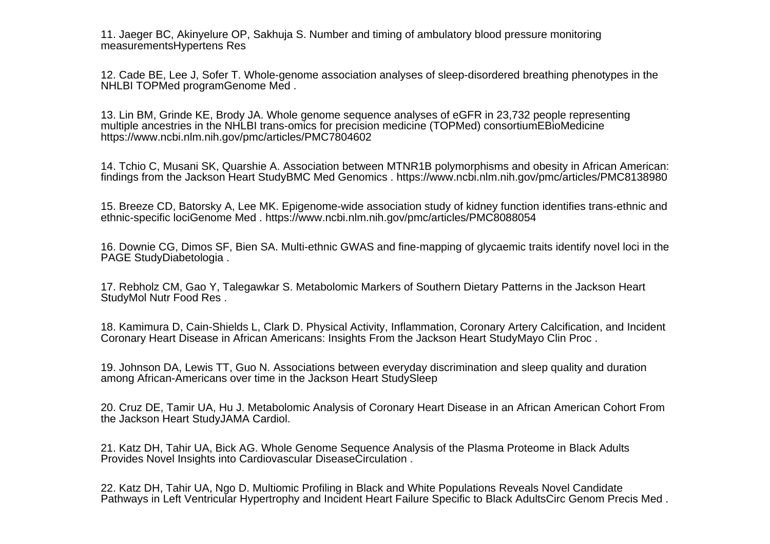11. Jaeger BC, Akinyelure OP, Sakhuja S. Number and timing of ambulatory blood pressure monitoringmeasurementsHypertens Res

12. Cade BE, Lee J, Sofer T. Whole-genome association analyses of sleep-disordered breathing phenotypes in theNHLBI TOPMed programGenome Med .

13. Lin BM, Grinde KE, Brody JA. Whole genome sequence analyses of eGFR in 23,732 people representingmultiple ancestries in the NHLBI trans-omics for precision medicine (TOPMed) consortiumEBioMedicinehttps://www.ncbi.nlm.nih.gov/pmc/articles/PMC7804602

14. Tchio C, Musani SK, Quarshie A. Association between MTNR1B polymorphisms and obesity in African American:findings from the Jackson Heart StudyBMC Med Genomics . https://www.ncbi.nlm.nih.gov/pmc/articles/PMC8138980

15. Breeze CD, Batorsky A, Lee MK. Epigenome-wide association study of kidney function identifies trans-ethnic andethnic-specific lociGenome Med . https://www.ncbi.nlm.nih.gov/pmc/articles/PMC8088054

16. Downie CG, Dimos SF, Bien SA. Multi-ethnic GWAS and fine-mapping of glycaemic traits identify novel loci in thePAGE StudyDiabetologia .

17. Rebholz CM, Gao Y, Talegawkar S. Metabolomic Markers of Southern Dietary Patterns in the Jackson HeartStudyMol Nutr Food Res .

18. Kamimura D, Cain-Shields L, Clark D. Physical Activity, Inflammation, Coronary Artery Calcification, and IncidentCoronary Heart Disease in African Americans: Insights From the Jackson Heart StudyMayo Clin Proc .

19. Johnson DA, Lewis TT, Guo N. Associations between everyday discrimination and sleep quality and durationamong African-Americans over time in the Jackson Heart StudySleep

20. Cruz DE, Tamir UA, Hu J. Metabolomic Analysis of Coronary Heart Disease in an African American Cohort Fromthe Jackson Heart StudyJAMA Cardiol.

21. Katz DH, Tahir UA, Bick AG. Whole Genome Sequence Analysis of the Plasma Proteome in Black AdultsProvides Novel Insights into Cardiovascular DiseaseCirculation .

22. Katz DH, Tahir UA, Ngo D. Multiomic Profiling in Black and White Populations Reveals Novel CandidatePathways in Left Ventricular Hypertrophy and Incident Heart Failure Specific to Black AdultsCirc Genom Precis Med .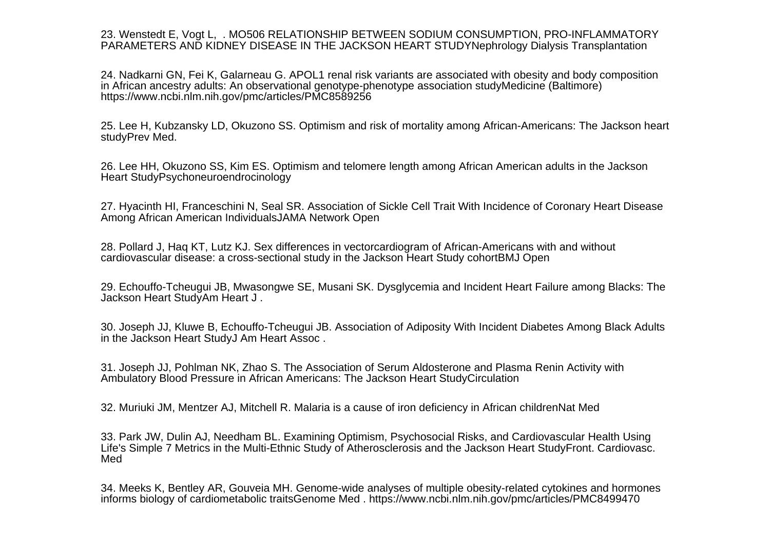23. Wenstedt E, Vogt L, . MO506 RELATIONSHIP BETWEEN SODIUM CONSUMPTION, PRO-INFLAMMATORYPARAMETERS AND KIDNEY DISEASE IN THE JACKSON HEART STUDYNephrology Dialysis Transplantation

24. Nadkarni GN, Fei K, Galarneau G. APOL1 renal risk variants are associated with obesity and body compositionin African ancestry adults: An observational genotype-phenotype association studyMedicine (Baltimore)https://www.ncbi.nlm.nih.gov/pmc/articles/PMC8589256

25. Lee H, Kubzansky LD, Okuzono SS. Optimism and risk of mortality among African-Americans: The Jackson heartstudyPrev Med.

26. Lee HH, Okuzono SS, Kim ES. Optimism and telomere length among African American adults in the JacksonHeart StudyPsychoneuroendrocinology

27. Hyacinth HI, Franceschini N, Seal SR. Association of Sickle Cell Trait With Incidence of Coronary Heart DiseaseAmong African American IndividualsJAMA Network Open

28. Pollard J, Haq KT, Lutz KJ. Sex differences in vectorcardiogram of African-Americans with and withoutcardiovascular disease: a cross-sectional study in the Jackson Heart Study cohortBMJ Open

29. Echouffo-Tcheugui JB, Mwasongwe SE, Musani SK. Dysglycemia and Incident Heart Failure among Blacks: TheJackson Heart StudyAm Heart J .

30. Joseph JJ, Kluwe B, Echouffo-Tcheugui JB. Association of Adiposity With Incident Diabetes Among Black Adultsin the Jackson Heart StudyJ Am Heart Assoc .

31. Joseph JJ, Pohlman NK, Zhao S. The Association of Serum Aldosterone and Plasma Renin Activity withAmbulatory Blood Pressure in African Americans: The Jackson Heart StudyCirculation

32. Muriuki JM, Mentzer AJ, Mitchell R. Malaria is a cause of iron deficiency in African childrenNat Med

33. Park JW, Dulin AJ, Needham BL. Examining Optimism, Psychosocial Risks, and Cardiovascular Health Using Life's Simple 7 Metrics in the Multi-Ethnic Study of Atherosclerosis and the Jackson Heart StudyFront. Cardiovasc.Med

34. Meeks K, Bentley AR, Gouveia MH. Genome-wide analyses of multiple obesity-related cytokines and hormonesinforms biology of cardiometabolic traitsGenome Med . https://www.ncbi.nlm.nih.gov/pmc/articles/PMC8499470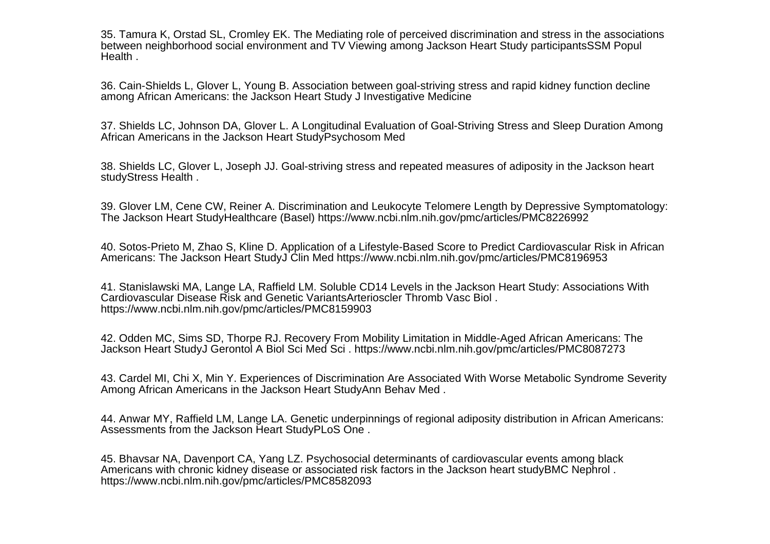35. Tamura K, Orstad SL, Cromley EK. The Mediating role of perceived discrimination and stress in the associationsbetween neighborhood social environment and TV Viewing among Jackson Heart Study participantsSSM PopulHealth .

36. Cain-Shields L, Glover L, Young B. Association between goal-striving stress and rapid kidney function declineamong African Americans: the Jackson Heart Study J Investigative Medicine

37. Shields LC, Johnson DA, Glover L. A Longitudinal Evaluation of Goal-Striving Stress and Sleep Duration AmongAfrican Americans in the Jackson Heart StudyPsychosom Med

38. Shields LC, Glover L, Joseph JJ. Goal-striving stress and repeated measures of adiposity in the Jackson heartstudyStress Health .

39. Glover LM, Cene CW, Reiner A. Discrimination and Leukocyte Telomere Length by Depressive Symptomatology:The Jackson Heart StudyHealthcare (Basel) https://www.ncbi.nlm.nih.gov/pmc/articles/PMC8226992

40. Sotos-Prieto M, Zhao S, Kline D. Application of a Lifestyle-Based Score to Predict Cardiovascular Risk in AfricanAmericans: The Jackson Heart StudyJ Clin Med https://www.ncbi.nlm.nih.gov/pmc/articles/PMC8196953

41. Stanislawski MA, Lange LA, Raffield LM. Soluble CD14 Levels in the Jackson Heart Study: Associations WithCardiovascular Disease Risk and Genetic VariantsArterioscler Thromb Vasc Biol .https://www.ncbi.nlm.nih.gov/pmc/articles/PMC8159903

42. Odden MC, Sims SD, Thorpe RJ. Recovery From Mobility Limitation in Middle-Aged African Americans: TheJackson Heart StudyJ Gerontol A Biol Sci Med Sci . https://www.ncbi.nlm.nih.gov/pmc/articles/PMC8087273

43. Cardel MI, Chi X, Min Y. Experiences of Discrimination Are Associated With Worse Metabolic Syndrome SeverityAmong African Americans in the Jackson Heart StudyAnn Behav Med .

44. Anwar MY, Raffield LM, Lange LA. Genetic underpinnings of regional adiposity distribution in African Americans:Assessments from the Jackson Heart StudyPLoS One .

45. Bhavsar NA, Davenport CA, Yang LZ. Psychosocial determinants of cardiovascular events among black Americans with chronic kidney disease or associated risk factors in the Jackson heart studyBMC Nephrol .https://www.ncbi.nlm.nih.gov/pmc/articles/PMC8582093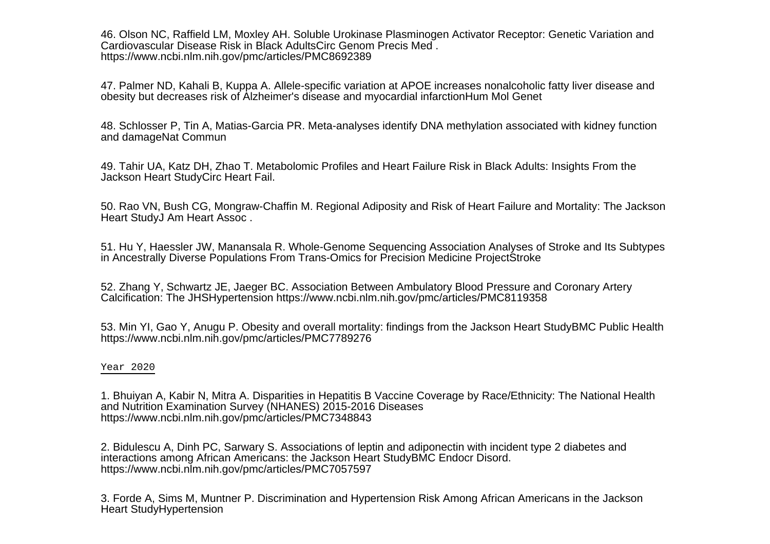46. Olson NC, Raffield LM, Moxley AH. Soluble Urokinase Plasminogen Activator Receptor: Genetic Variation andCardiovascular Disease Risk in Black AdultsCirc Genom Precis Med .https://www.ncbi.nlm.nih.gov/pmc/articles/PMC8692389

47. Palmer ND, Kahali B, Kuppa A. Allele-specific variation at APOE increases nonalcoholic fatty liver disease andobesity but decreases risk of Alzheimer's disease and myocardial infarctionHum Mol Genet

48. Schlosser P, Tin A, Matias-Garcia PR. Meta-analyses identify DNA methylation associated with kidney functionand damageNat Commun

49. Tahir UA, Katz DH, Zhao T. Metabolomic Profiles and Heart Failure Risk in Black Adults: Insights From theJackson Heart StudyCirc Heart Fail.

50. Rao VN, Bush CG, Mongraw-Chaffin M. Regional Adiposity and Risk of Heart Failure and Mortality: The JacksonHeart StudyJ Am Heart Assoc .

51. Hu Y, Haessler JW, Manansala R. Whole-Genome Sequencing Association Analyses of Stroke and Its Subtypesin Ancestrally Diverse Populations From Trans-Omics for Precision Medicine ProjectStroke

52. Zhang Y, Schwartz JE, Jaeger BC. Association Between Ambulatory Blood Pressure and Coronary ArteryCalcification: The JHSHypertension https://www.ncbi.nlm.nih.gov/pmc/articles/PMC8119358

53. Min YI, Gao Y, Anugu P. Obesity and overall mortality: findings from the Jackson Heart StudyBMC Public Healthhttps://www.ncbi.nlm.nih.gov/pmc/articles/PMC7789276

## Year 2020

1. Bhuiyan A, Kabir N, Mitra A. Disparities in Hepatitis B Vaccine Coverage by Race/Ethnicity: The National Healthand Nutrition Examination Survey (NHANES) 2015-2016 Diseaseshttps://www.ncbi.nlm.nih.gov/pmc/articles/PMC7348843

2. Bidulescu A, Dinh PC, Sarwary S. Associations of leptin and adiponectin with incident type 2 diabetes andinteractions among African Americans: the Jackson Heart StudyBMC Endocr Disord.https://www.ncbi.nlm.nih.gov/pmc/articles/PMC7057597

3. Forde A, Sims M, Muntner P. Discrimination and Hypertension Risk Among African Americans in the JacksonHeart StudyHypertension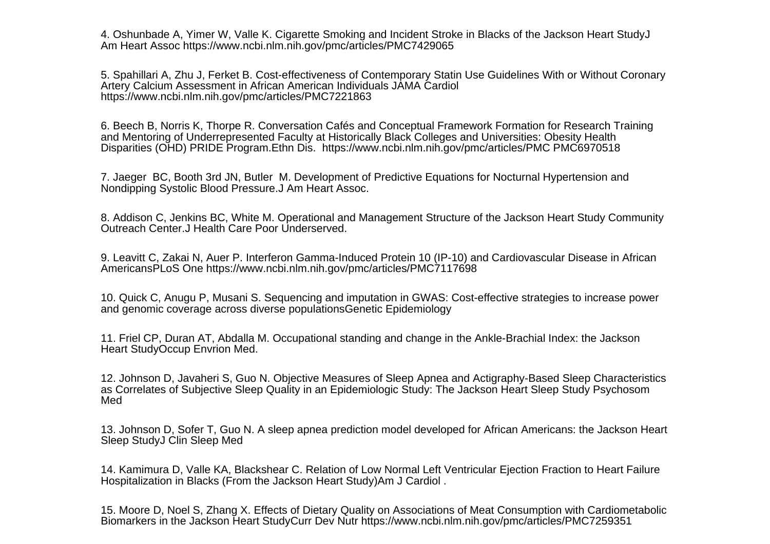4. Oshunbade A, Yimer W, Valle K. Cigarette Smoking and Incident Stroke in Blacks of the Jackson Heart StudyJAm Heart Assoc https://www.ncbi.nlm.nih.gov/pmc/articles/PMC7429065

5. Spahillari A, Zhu J, Ferket B. Cost-effectiveness of Contemporary Statin Use Guidelines With or Without CoronaryArtery Calcium Assessment in African American Individuals JAMA Cardiolhttps://www.ncbi.nlm.nih.gov/pmc/articles/PMC7221863

6. Beech B, Norris K, Thorpe R. Conversation Cafés and Conceptual Framework Formation for Research Trainingand Mentoring of Underrepresented Faculty at Historically Black Colleges and Universities: Obesity HealthDisparities (OHD) PRIDE Program.Ethn Dis. https://www.ncbi.nlm.nih.gov/pmc/articles/PMC PMC6970518

7. Jaeger BC, Booth 3rd JN, Butler M. Development of Predictive Equations for Nocturnal Hypertension andNondipping Systolic Blood Pressure.J Am Heart Assoc.

8. Addison C, Jenkins BC, White M. Operational and Management Structure of the Jackson Heart Study CommunityOutreach Center.J Health Care Poor Underserved.

9. Leavitt C, Zakai N, Auer P. Interferon Gamma-Induced Protein 10 (IP-10) and Cardiovascular Disease in AfricanAmericansPLoS One https://www.ncbi.nlm.nih.gov/pmc/articles/PMC7117698

10. Quick C, Anugu P, Musani S. Sequencing and imputation in GWAS: Cost-effective strategies to increase powerand genomic coverage across diverse populationsGenetic Epidemiology

11. Friel CP, Duran AT, Abdalla M. Occupational standing and change in the Ankle-Brachial Index: the JacksonHeart StudyOccup Envrion Med.

12. Johnson D, Javaheri S, Guo N. Objective Measures of Sleep Apnea and Actigraphy-Based Sleep Characteristicsas Correlates of Subjective Sleep Quality in an Epidemiologic Study: The Jackson Heart Sleep Study PsychosomMed

13. Johnson D, Sofer T, Guo N. A sleep apnea prediction model developed for African Americans: the Jackson HeartSleep StudyJ Clin Sleep Med

14. Kamimura D, Valle KA, Blackshear C. Relation of Low Normal Left Ventricular Ejection Fraction to Heart FailureHospitalization in Blacks (From the Jackson Heart Study)Am J Cardiol .

15. Moore D, Noel S, Zhang X. Effects of Dietary Quality on Associations of Meat Consumption with CardiometabolicBiomarkers in the Jackson Heart StudyCurr Dev Nutr https://www.ncbi.nlm.nih.gov/pmc/articles/PMC7259351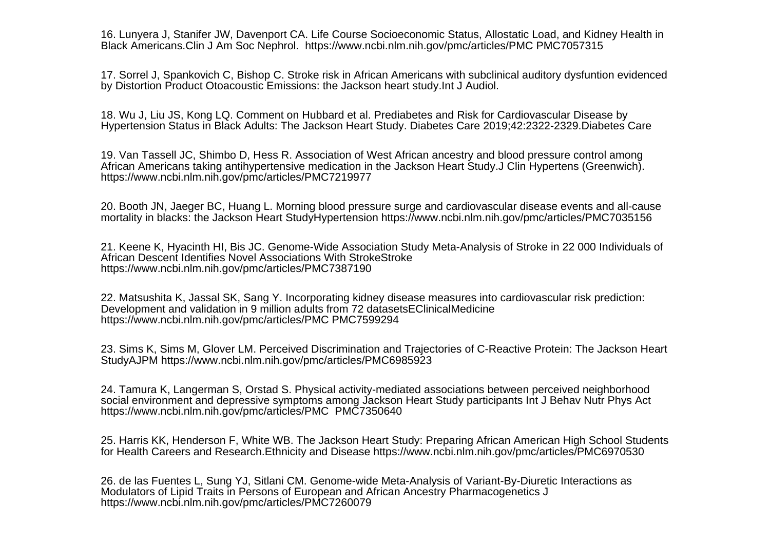16. Lunyera J, Stanifer JW, Davenport CA. Life Course Socioeconomic Status, Allostatic Load, and Kidney Health inBlack Americans.Clin J Am Soc Nephrol. https://www.ncbi.nlm.nih.gov/pmc/articles/PMC PMC7057315

17. Sorrel J, Spankovich C, Bishop C. Stroke risk in African Americans with subclinical auditory dysfuntion evidencedby Distortion Product Otoacoustic Emissions: the Jackson heart study.Int J Audiol.

18. Wu J, Liu JS, Kong LQ. Comment on Hubbard et al. Prediabetes and Risk for Cardiovascular Disease byHypertension Status in Black Adults: The Jackson Heart Study. Diabetes Care 2019;42:2322-2329.Diabetes Care

19. Van Tassell JC, Shimbo D, Hess R. Association of West African ancestry and blood pressure control among African Americans taking antihypertensive medication in the Jackson Heart Study.J Clin Hypertens (Greenwich).https://www.ncbi.nlm.nih.gov/pmc/articles/PMC7219977

20. Booth JN, Jaeger BC, Huang L. Morning blood pressure surge and cardiovascular disease events and all-causemortality in blacks: the Jackson Heart StudyHypertension https://www.ncbi.nlm.nih.gov/pmc/articles/PMC7035156

21. Keene K, Hyacinth HI, Bis JC. Genome-Wide Association Study Meta-Analysis of Stroke in 22 000 Individuals ofAfrican Descent Identifies Novel Associations With StrokeStrokehttps://www.ncbi.nlm.nih.gov/pmc/articles/PMC7387190

22. Matsushita K, Jassal SK, Sang Y. Incorporating kidney disease measures into cardiovascular risk prediction:Development and validation in 9 million adults from 72 datasetsEClinicalMedicinehttps://www.ncbi.nlm.nih.gov/pmc/articles/PMC PMC7599294

23. Sims K, Sims M, Glover LM. Perceived Discrimination and Trajectories of C-Reactive Protein: The Jackson HeartStudyAJPM https://www.ncbi.nlm.nih.gov/pmc/articles/PMC6985923

24. Tamura K, Langerman S, Orstad S. Physical activity-mediated associations between perceived neighborhood social environment and depressive symptoms among Jackson Heart Study participants Int J Behav Nutr Phys Acthttps://www.ncbi.nlm.nih.gov/pmc/articles/PMC PMC7350640

25. Harris KK, Henderson F, White WB. The Jackson Heart Study: Preparing African American High School Studentsfor Health Careers and Research.Ethnicity and Disease https://www.ncbi.nlm.nih.gov/pmc/articles/PMC6970530

26. de las Fuentes L, Sung YJ, Sitlani CM. Genome-wide Meta-Analysis of Variant-By-Diuretic Interactions asModulators of Lipid Traits in Persons of European and African Ancestry Pharmacogenetics Jhttps://www.ncbi.nlm.nih.gov/pmc/articles/PMC7260079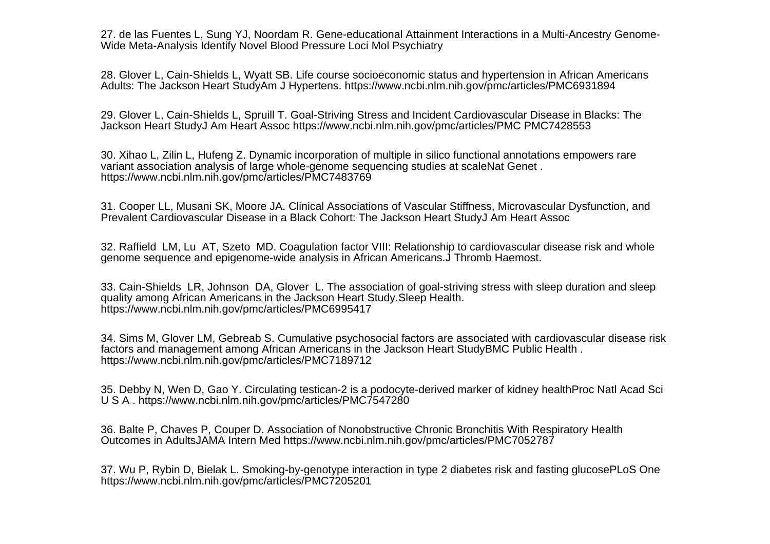27. de las Fuentes L, Sung YJ, Noordam R. Gene-educational Attainment Interactions in a Multi-Ancestry Genome-Wide Meta-Analysis Identify Novel Blood Pressure Loci Mol Psychiatry

28. Glover L, Cain-Shields L, Wyatt SB. Life course socioeconomic status and hypertension in African AmericansAdults: The Jackson Heart StudyAm J Hypertens. https://www.ncbi.nlm.nih.gov/pmc/articles/PMC6931894

29. Glover L, Cain-Shields L, Spruill T. Goal-Striving Stress and Incident Cardiovascular Disease in Blacks: TheJackson Heart StudyJ Am Heart Assoc https://www.ncbi.nlm.nih.gov/pmc/articles/PMC PMC7428553

30. Xihao L, Zilin L, Hufeng Z. Dynamic incorporation of multiple in silico functional annotations empowers rarevariant association analysis of large whole-genome sequencing studies at scaleNat Genet .https://www.ncbi.nlm.nih.gov/pmc/articles/PMC7483769

31. Cooper LL, Musani SK, Moore JA. Clinical Associations of Vascular Stiffness, Microvascular Dysfunction, andPrevalent Cardiovascular Disease in a Black Cohort: The Jackson Heart StudyJ Am Heart Assoc

32. Raffield LM, Lu AT, Szeto MD. Coagulation factor VIII: Relationship to cardiovascular disease risk and wholegenome sequence and epigenome-wide analysis in African Americans.J Thromb Haemost.

33. Cain-Shields LR, Johnson DA, Glover L. The association of goal-striving stress with sleep duration and sleepquality among African Americans in the Jackson Heart Study.Sleep Health.https://www.ncbi.nlm.nih.gov/pmc/articles/PMC6995417

34. Sims M, Glover LM, Gebreab S. Cumulative psychosocial factors are associated with cardiovascular disease riskfactors and management among African Americans in the Jackson Heart StudyBMC Public Health .https://www.ncbi.nlm.nih.gov/pmc/articles/PMC7189712

35. Debby N, Wen D, Gao Y. Circulating testican-2 is a podocyte-derived marker of kidney healthProc Natl Acad SciU S A . https://www.ncbi.nlm.nih.gov/pmc/articles/PMC7547280

36. Balte P, Chaves P, Couper D. Association of Nonobstructive Chronic Bronchitis With Respiratory HealthOutcomes in AdultsJAMA Intern Med https://www.ncbi.nlm.nih.gov/pmc/articles/PMC7052787

37. Wu P, Rybin D, Bielak L. Smoking-by-genotype interaction in type 2 diabetes risk and fasting glucosePLoS Onehttps://www.ncbi.nlm.nih.gov/pmc/articles/PMC7205201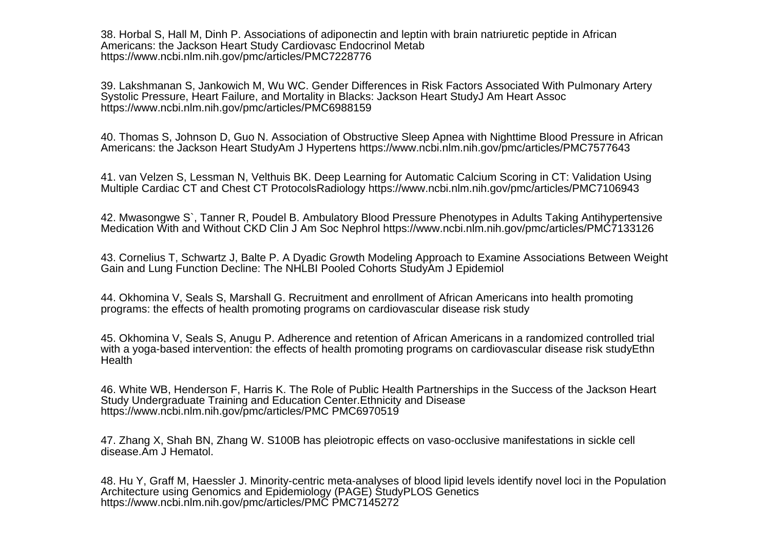38. Horbal S, Hall M, Dinh P. Associations of adiponectin and leptin with brain natriuretic peptide in AfricanAmericans: the Jackson Heart Study Cardiovasc Endocrinol Metabhttps://www.ncbi.nlm.nih.gov/pmc/articles/PMC7228776

39. Lakshmanan S, Jankowich M, Wu WC. Gender Differences in Risk Factors Associated With Pulmonary ArterySystolic Pressure, Heart Failure, and Mortality in Blacks: Jackson Heart StudyJ Am Heart Assochttps://www.ncbi.nlm.nih.gov/pmc/articles/PMC6988159

40. Thomas S, Johnson D, Guo N. Association of Obstructive Sleep Apnea with Nighttime Blood Pressure in AfricanAmericans: the Jackson Heart StudyAm J Hypertens https://www.ncbi.nlm.nih.gov/pmc/articles/PMC7577643

41. van Velzen S, Lessman N, Velthuis BK. Deep Learning for Automatic Calcium Scoring in CT: Validation UsingMultiple Cardiac CT and Chest CT ProtocolsRadiology https://www.ncbi.nlm.nih.gov/pmc/articles/PMC7106943

42. Mwasongwe S`, Tanner R, Poudel B. Ambulatory Blood Pressure Phenotypes in Adults Taking AntihypertensiveMedication With and Without CKD Clin J Am Soc Nephrol https://www.ncbi.nlm.nih.gov/pmc/articles/PMC7133126

43. Cornelius T, Schwartz J, Balte P. A Dyadic Growth Modeling Approach to Examine Associations Between WeightGain and Lung Function Decline: The NHLBI Pooled Cohorts StudyAm J Epidemiol

44. Okhomina V, Seals S, Marshall G. Recruitment and enrollment of African Americans into health promotingprograms: the effects of health promoting programs on cardiovascular disease risk study

45. Okhomina V, Seals S, Anugu P. Adherence and retention of African Americans in a randomized controlled trial with a yoga-based intervention: the effects of health promoting programs on cardiovascular disease risk studyEthnHealth

46. White WB, Henderson F, Harris K. The Role of Public Health Partnerships in the Success of the Jackson HeartStudy Undergraduate Training and Education Center.Ethnicity and Diseasehttps://www.ncbi.nlm.nih.gov/pmc/articles/PMC PMC6970519

47. Zhang X, Shah BN, Zhang W. S100B has pleiotropic effects on vaso-occlusive manifestations in sickle celldisease.Am J Hematol.

48. Hu Y, Graff M, Haessler J. Minority-centric meta-analyses of blood lipid levels identify novel loci in the PopulationArchitecture using Genomics and Epidemiology (PAGE) StudyPLOS Geneticshttps://www.ncbi.nlm.nih.gov/pmc/articles/PMC PMC7145272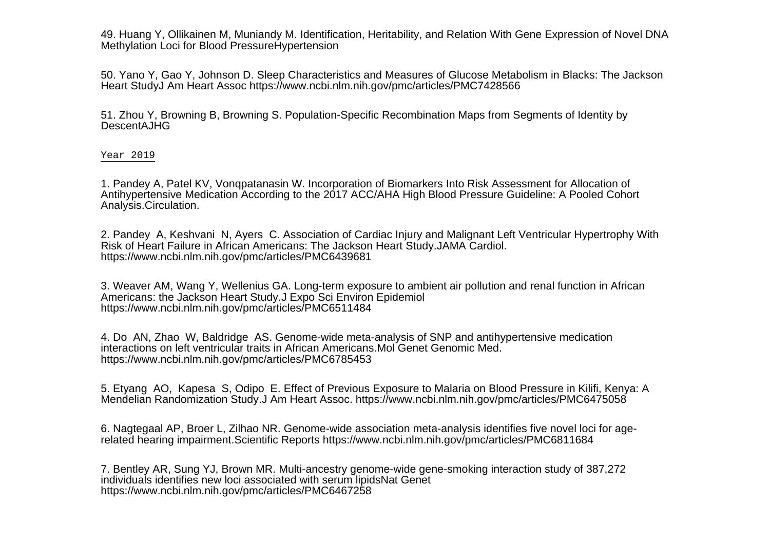49. Huang Y, Ollikainen M, Muniandy M. Identification, Heritability, and Relation With Gene Expression of Novel DNAMethylation Loci for Blood PressureHypertension

50. Yano Y, Gao Y, Johnson D. Sleep Characteristics and Measures of Glucose Metabolism in Blacks: The JacksonHeart StudyJ Am Heart Assoc https://www.ncbi.nlm.nih.gov/pmc/articles/PMC7428566

51. Zhou Y, Browning B, Browning S. Population-Specific Recombination Maps from Segments of Identity byDescentAJHG

Year 2019

1. Pandey A, Patel KV, Vonqpatanasin W. Incorporation of Biomarkers Into Risk Assessment for Allocation of Antihypertensive Medication According to the 2017 ACC/AHA High Blood Pressure Guideline: A Pooled CohortAnalysis.Circulation.

2. Pandey A, Keshvani N, Ayers C. Association of Cardiac Injury and Malignant Left Ventricular Hypertrophy WithRisk of Heart Failure in African Americans: The Jackson Heart Study.JAMA Cardiol.https://www.ncbi.nlm.nih.gov/pmc/articles/PMC6439681

3. Weaver AM, Wang Y, Wellenius GA. Long-term exposure to ambient air pollution and renal function in AfricanAmericans: the Jackson Heart Study.J Expo Sci Environ Epidemiolhttps://www.ncbi.nlm.nih.gov/pmc/articles/PMC6511484

4. Do AN, Zhao W, Baldridge AS. Genome-wide meta-analysis of SNP and antihypertensive medicationinteractions on left ventricular traits in African Americans.Mol Genet Genomic Med.https://www.ncbi.nlm.nih.gov/pmc/articles/PMC6785453

5. Etyang AO, Kapesa S, Odipo E. Effect of Previous Exposure to Malaria on Blood Pressure in Kilifi, Kenya: AMendelian Randomization Study.J Am Heart Assoc. https://www.ncbi.nlm.nih.gov/pmc/articles/PMC6475058

6. Nagtegaal AP, Broer L, Zilhao NR. Genome-wide association meta-analysis identifies five novel loci for agerelated hearing impairment.Scientific Reports https://www.ncbi.nlm.nih.gov/pmc/articles/PMC6811684

7. Bentley AR, Sung YJ, Brown MR. Multi-ancestry genome-wide gene-smoking interaction study of 387,272individuals identifies new loci associated with serum lipidsNat Genethttps://www.ncbi.nlm.nih.gov/pmc/articles/PMC6467258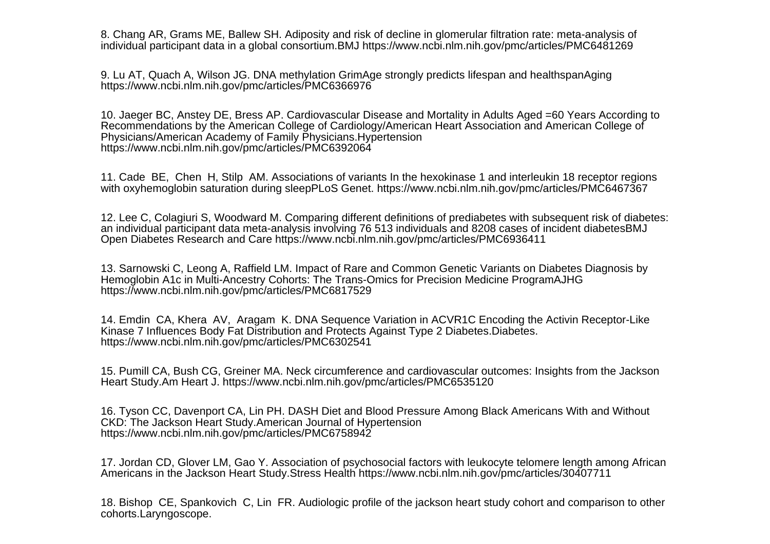8. Chang AR, Grams ME, Ballew SH. Adiposity and risk of decline in glomerular filtration rate: meta-analysis ofindividual participant data in a global consortium.BMJ https://www.ncbi.nlm.nih.gov/pmc/articles/PMC6481269

9. Lu AT, Quach A, Wilson JG. DNA methylation GrimAge strongly predicts lifespan and healthspanAginghttps://www.ncbi.nlm.nih.gov/pmc/articles/PMC6366976

10. Jaeger BC, Anstey DE, Bress AP. Cardiovascular Disease and Mortality in Adults Aged =60 Years According toRecommendations by the American College of Cardiology/American Heart Association and American College ofPhysicians/American Academy of Family Physicians.Hypertensionhttps://www.ncbi.nlm.nih.gov/pmc/articles/PMC6392064

11. Cade BE, Chen H, Stilp AM. Associations of variants In the hexokinase 1 and interleukin 18 receptor regionswith oxyhemoglobin saturation during sleepPLoS Genet. https://www.ncbi.nlm.nih.gov/pmc/articles/PMC6467367

12. Lee C, Colagiuri S, Woodward M. Comparing different definitions of prediabetes with subsequent risk of diabetes:an individual participant data meta-analysis involving 76 513 individuals and 8208 cases of incident diabetesBMJOpen Diabetes Research and Care https://www.ncbi.nlm.nih.gov/pmc/articles/PMC6936411

13. Sarnowski C, Leong A, Raffield LM. Impact of Rare and Common Genetic Variants on Diabetes Diagnosis byHemoglobin A1c in Multi-Ancestry Cohorts: The Trans-Omics for Precision Medicine ProgramAJHGhttps://www.ncbi.nlm.nih.gov/pmc/articles/PMC6817529

14. Emdin CA, Khera AV, Aragam K. DNA Sequence Variation in ACVR1C Encoding the Activin Receptor-LikeKinase 7 Influences Body Fat Distribution and Protects Against Type 2 Diabetes.Diabetes.https://www.ncbi.nlm.nih.gov/pmc/articles/PMC6302541

15. Pumill CA, Bush CG, Greiner MA. Neck circumference and cardiovascular outcomes: Insights from the JacksonHeart Study.Am Heart J. https://www.ncbi.nlm.nih.gov/pmc/articles/PMC6535120

16. Tyson CC, Davenport CA, Lin PH. DASH Diet and Blood Pressure Among Black Americans With and WithoutCKD: The Jackson Heart Study.American Journal of Hypertensionhttps://www.ncbi.nlm.nih.gov/pmc/articles/PMC6758942

17. Jordan CD, Glover LM, Gao Y. Association of psychosocial factors with leukocyte telomere length among AfricanAmericans in the Jackson Heart Study.Stress Health https://www.ncbi.nlm.nih.gov/pmc/articles/30407711

18. Bishop CE, Spankovich C, Lin FR. Audiologic profile of the jackson heart study cohort and comparison to othercohorts.Laryngoscope.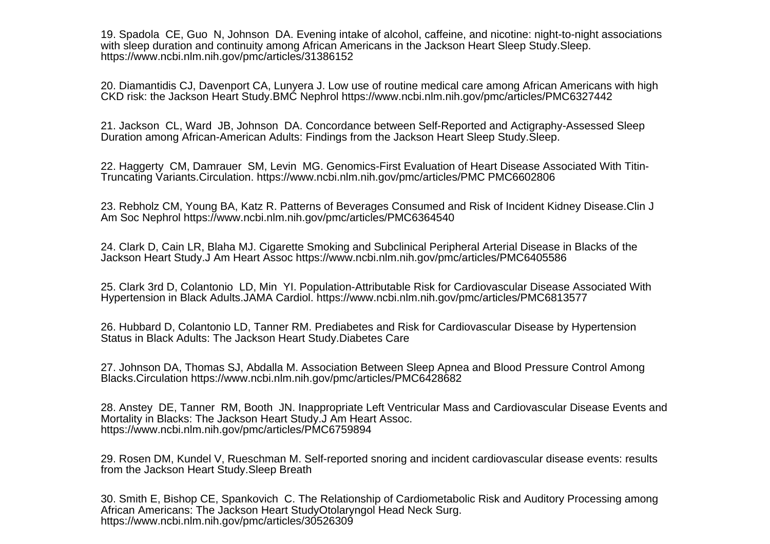19. Spadola CE, Guo N, Johnson DA. Evening intake of alcohol, caffeine, and nicotine: night-to-night associationswith sleep duration and continuity among African Americans in the Jackson Heart Sleep Study.Sleep.https://www.ncbi.nlm.nih.gov/pmc/articles/31386152

20. Diamantidis CJ, Davenport CA, Lunyera J. Low use of routine medical care among African Americans with highCKD risk: the Jackson Heart Study.BMC Nephrol https://www.ncbi.nlm.nih.gov/pmc/articles/PMC6327442

21. Jackson CL, Ward JB, Johnson DA. Concordance between Self-Reported and Actigraphy-Assessed SleepDuration among African-American Adults: Findings from the Jackson Heart Sleep Study.Sleep.

22. Haggerty CM, Damrauer SM, Levin MG. Genomics-First Evaluation of Heart Disease Associated With Titin-Truncating Variants.Circulation. https://www.ncbi.nlm.nih.gov/pmc/articles/PMC PMC6602806

23. Rebholz CM, Young BA, Katz R. Patterns of Beverages Consumed and Risk of Incident Kidney Disease.Clin JAm Soc Nephrol https://www.ncbi.nlm.nih.gov/pmc/articles/PMC6364540

24. Clark D, Cain LR, Blaha MJ. Cigarette Smoking and Subclinical Peripheral Arterial Disease in Blacks of theJackson Heart Study.J Am Heart Assoc https://www.ncbi.nlm.nih.gov/pmc/articles/PMC6405586

25. Clark 3rd D, Colantonio LD, Min YI. Population-Attributable Risk for Cardiovascular Disease Associated WithHypertension in Black Adults.JAMA Cardiol. https://www.ncbi.nlm.nih.gov/pmc/articles/PMC6813577

26. Hubbard D, Colantonio LD, Tanner RM. Prediabetes and Risk for Cardiovascular Disease by HypertensionStatus in Black Adults: The Jackson Heart Study.Diabetes Care

27. Johnson DA, Thomas SJ, Abdalla M. Association Between Sleep Apnea and Blood Pressure Control AmongBlacks.Circulation https://www.ncbi.nlm.nih.gov/pmc/articles/PMC6428682

28. Anstey DE, Tanner RM, Booth JN. Inappropriate Left Ventricular Mass and Cardiovascular Disease Events andMortality in Blacks: The Jackson Heart Study.J Am Heart Assoc.https://www.ncbi.nlm.nih.gov/pmc/articles/PMC6759894

29. Rosen DM, Kundel V, Rueschman M. Self-reported snoring and incident cardiovascular disease events: resultsfrom the Jackson Heart Study.Sleep Breath

30. Smith E, Bishop CE, Spankovich C. The Relationship of Cardiometabolic Risk and Auditory Processing amongAfrican Americans: The Jackson Heart StudyOtolaryngol Head Neck Surg.https://www.ncbi.nlm.nih.gov/pmc/articles/30526309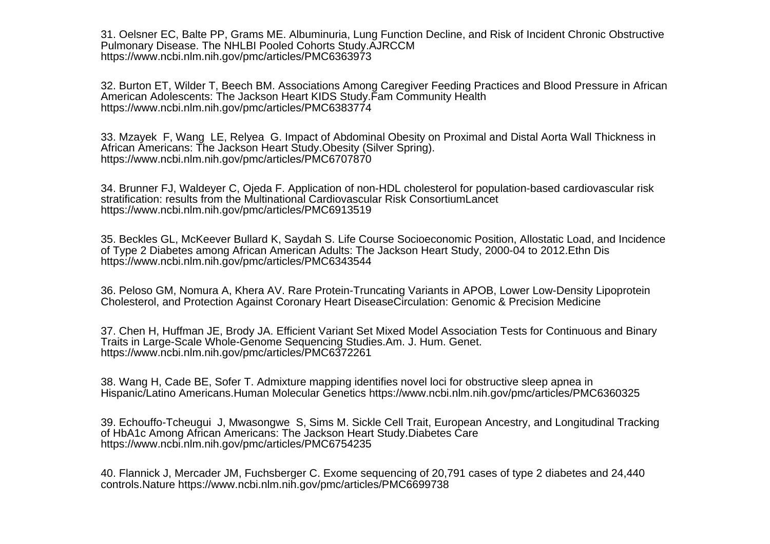31. Oelsner EC, Balte PP, Grams ME. Albuminuria, Lung Function Decline, and Risk of Incident Chronic ObstructivePulmonary Disease. The NHLBI Pooled Cohorts Study.AJRCCMhttps://www.ncbi.nlm.nih.gov/pmc/articles/PMC6363973

32. Burton ET, Wilder T, Beech BM. Associations Among Caregiver Feeding Practices and Blood Pressure in AfricanAmerican Adolescents: The Jackson Heart KIDS Study.Fam Community Healthhttps://www.ncbi.nlm.nih.gov/pmc/articles/PMC6383774

33. Mzayek F, Wang LE, Relyea G. Impact of Abdominal Obesity on Proximal and Distal Aorta Wall Thickness inAfrican Americans: The Jackson Heart Study.Obesity (Silver Spring).https://www.ncbi.nlm.nih.gov/pmc/articles/PMC6707870

34. Brunner FJ, Waldeyer C, Ojeda F. Application of non-HDL cholesterol for population-based cardiovascular riskstratification: results from the Multinational Cardiovascular Risk ConsortiumLancethttps://www.ncbi.nlm.nih.gov/pmc/articles/PMC6913519

35. Beckles GL, McKeever Bullard K, Saydah S. Life Course Socioeconomic Position, Allostatic Load, and Incidenceof Type 2 Diabetes among African American Adults: The Jackson Heart Study, 2000-04 to 2012.Ethn Dishttps://www.ncbi.nlm.nih.gov/pmc/articles/PMC6343544

36. Peloso GM, Nomura A, Khera AV. Rare Protein-Truncating Variants in APOB, Lower Low-Density LipoproteinCholesterol, and Protection Against Coronary Heart DiseaseCirculation: Genomic & Precision Medicine

37. Chen H, Huffman JE, Brody JA. Efficient Variant Set Mixed Model Association Tests for Continuous and BinaryTraits in Large-Scale Whole-Genome Sequencing Studies.Am. J. Hum. Genet.https://www.ncbi.nlm.nih.gov/pmc/articles/PMC6372261

38. Wang H, Cade BE, Sofer T. Admixture mapping identifies novel loci for obstructive sleep apnea inHispanic/Latino Americans.Human Molecular Genetics https://www.ncbi.nlm.nih.gov/pmc/articles/PMC6360325

39. Echouffo-Tcheugui J, Mwasongwe S, Sims M. Sickle Cell Trait, European Ancestry, and Longitudinal Trackingof HbA1c Among African Americans: The Jackson Heart Study.Diabetes Carehttps://www.ncbi.nlm.nih.gov/pmc/articles/PMC6754235

40. Flannick J, Mercader JM, Fuchsberger C. Exome sequencing of 20,791 cases of type 2 diabetes and 24,440controls.Nature https://www.ncbi.nlm.nih.gov/pmc/articles/PMC6699738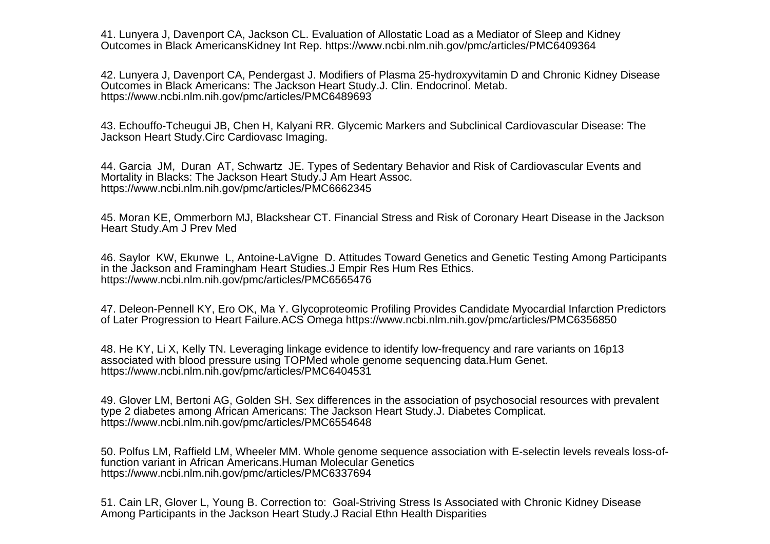41. Lunyera J, Davenport CA, Jackson CL. Evaluation of Allostatic Load as a Mediator of Sleep and KidneyOutcomes in Black AmericansKidney Int Rep. https://www.ncbi.nlm.nih.gov/pmc/articles/PMC6409364

42. Lunyera J, Davenport CA, Pendergast J. Modifiers of Plasma 25-hydroxyvitamin D and Chronic Kidney DiseaseOutcomes in Black Americans: The Jackson Heart Study.J. Clin. Endocrinol. Metab.https://www.ncbi.nlm.nih.gov/pmc/articles/PMC6489693

43. Echouffo-Tcheugui JB, Chen H, Kalyani RR. Glycemic Markers and Subclinical Cardiovascular Disease: TheJackson Heart Study.Circ Cardiovasc Imaging.

44. Garcia JM, Duran AT, Schwartz JE. Types of Sedentary Behavior and Risk of Cardiovascular Events andMortality in Blacks: The Jackson Heart Study.J Am Heart Assoc.https://www.ncbi.nlm.nih.gov/pmc/articles/PMC6662345

45. Moran KE, Ommerborn MJ, Blackshear CT. Financial Stress and Risk of Coronary Heart Disease in the JacksonHeart Study.Am J Prev Med

46. Saylor KW, Ekunwe L, Antoine-LaVigne D. Attitudes Toward Genetics and Genetic Testing Among Participantsin the Jackson and Framingham Heart Studies.J Empir Res Hum Res Ethics.https://www.ncbi.nlm.nih.gov/pmc/articles/PMC6565476

47. Deleon-Pennell KY, Ero OK, Ma Y. Glycoproteomic Profiling Provides Candidate Myocardial Infarction Predictorsof Later Progression to Heart Failure.ACS Omega https://www.ncbi.nlm.nih.gov/pmc/articles/PMC6356850

48. He KY, Li X, Kelly TN. Leveraging linkage evidence to identify low-frequency and rare variants on 16p13associated with blood pressure using TOPMed whole genome sequencing data.Hum Genet.https://www.ncbi.nlm.nih.gov/pmc/articles/PMC6404531

49. Glover LM, Bertoni AG, Golden SH. Sex differences in the association of psychosocial resources with prevalenttype 2 diabetes among African Americans: The Jackson Heart Study.J. Diabetes Complicat.https://www.ncbi.nlm.nih.gov/pmc/articles/PMC6554648

50. Polfus LM, Raffield LM, Wheeler MM. Whole genome sequence association with E-selectin levels reveals loss-offunction variant in African Americans.Human Molecular Geneticshttps://www.ncbi.nlm.nih.gov/pmc/articles/PMC6337694

51. Cain LR, Glover L, Young B. Correction to: Goal-Striving Stress Is Associated with Chronic Kidney DiseaseAmong Participants in the Jackson Heart Study.J Racial Ethn Health Disparities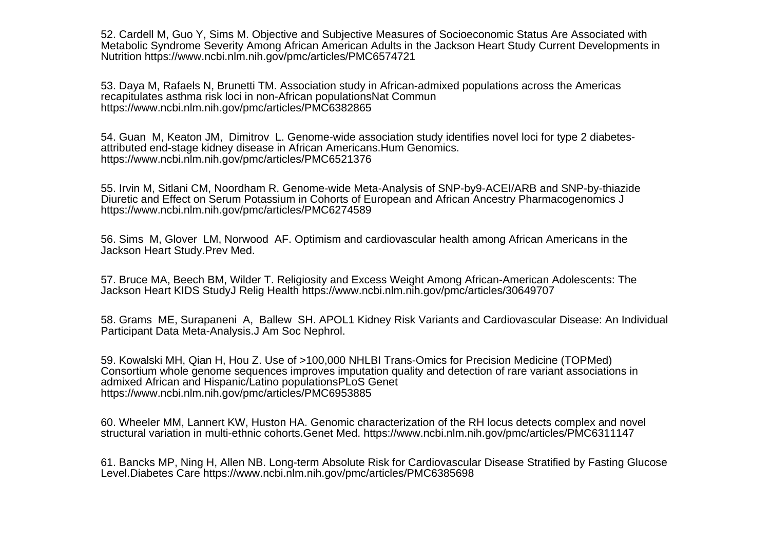52. Cardell M, Guo Y, Sims M. Objective and Subjective Measures of Socioeconomic Status Are Associated with Metabolic Syndrome Severity Among African American Adults in the Jackson Heart Study Current Developments inNutrition https://www.ncbi.nlm.nih.gov/pmc/articles/PMC6574721

53. Daya M, Rafaels N, Brunetti TM. Association study in African-admixed populations across the Americasrecapitulates asthma risk loci in non-African populationsNat Communhttps://www.ncbi.nlm.nih.gov/pmc/articles/PMC6382865

54. Guan M, Keaton JM, Dimitrov L. Genome-wide association study identifies novel loci for type 2 diabetesattributed end-stage kidney disease in African Americans.Hum Genomics.https://www.ncbi.nlm.nih.gov/pmc/articles/PMC6521376

55. Irvin M, Sitlani CM, Noordham R. Genome-wide Meta-Analysis of SNP-by9-ACEI/ARB and SNP-by-thiazideDiuretic and Effect on Serum Potassium in Cohorts of European and African Ancestry Pharmacogenomics Jhttps://www.ncbi.nlm.nih.gov/pmc/articles/PMC6274589

56. Sims M, Glover LM, Norwood AF. Optimism and cardiovascular health among African Americans in theJackson Heart Study.Prev Med.

57. Bruce MA, Beech BM, Wilder T. Religiosity and Excess Weight Among African-American Adolescents: TheJackson Heart KIDS StudyJ Relig Health https://www.ncbi.nlm.nih.gov/pmc/articles/30649707

58. Grams ME, Surapaneni A, Ballew SH. APOL1 Kidney Risk Variants and Cardiovascular Disease: An IndividualParticipant Data Meta-Analysis.J Am Soc Nephrol.

59. Kowalski MH, Qian H, Hou Z. Use of >100,000 NHLBI Trans-Omics for Precision Medicine (TOPMed) Consortium whole genome sequences improves imputation quality and detection of rare variant associations inadmixed African and Hispanic/Latino populationsPLoS Genethttps://www.ncbi.nlm.nih.gov/pmc/articles/PMC6953885

60. Wheeler MM, Lannert KW, Huston HA. Genomic characterization of the RH locus detects complex and novelstructural variation in multi-ethnic cohorts.Genet Med. https://www.ncbi.nlm.nih.gov/pmc/articles/PMC6311147

61. Bancks MP, Ning H, Allen NB. Long-term Absolute Risk for Cardiovascular Disease Stratified by Fasting GlucoseLevel.Diabetes Care https://www.ncbi.nlm.nih.gov/pmc/articles/PMC6385698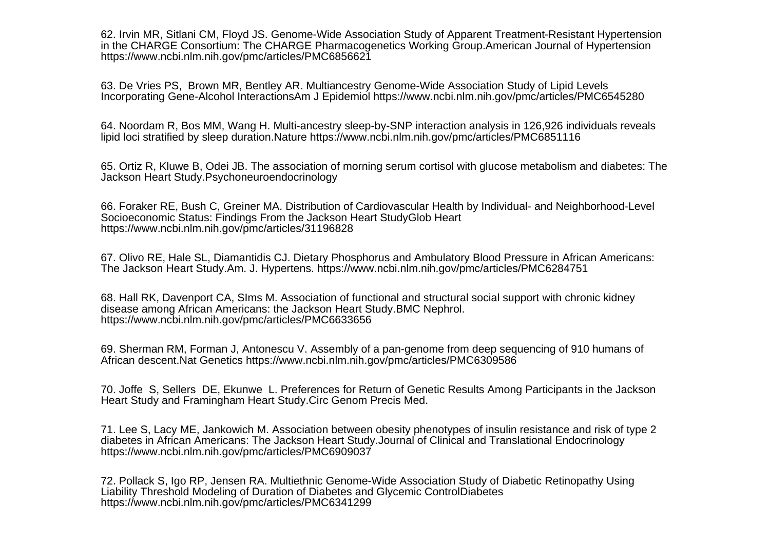62. Irvin MR, Sitlani CM, Floyd JS. Genome-Wide Association Study of Apparent Treatment-Resistant Hypertensionin the CHARGE Consortium: The CHARGE Pharmacogenetics Working Group.American Journal of Hypertensionhttps://www.ncbi.nlm.nih.gov/pmc/articles/PMC6856621

63. De Vries PS, Brown MR, Bentley AR. Multiancestry Genome-Wide Association Study of Lipid LevelsIncorporating Gene-Alcohol InteractionsAm J Epidemiol https://www.ncbi.nlm.nih.gov/pmc/articles/PMC6545280

64. Noordam R, Bos MM, Wang H. Multi-ancestry sleep-by-SNP interaction analysis in 126,926 individuals revealslipid loci stratified by sleep duration.Nature https://www.ncbi.nlm.nih.gov/pmc/articles/PMC6851116

65. Ortiz R, Kluwe B, Odei JB. The association of morning serum cortisol with glucose metabolism and diabetes: TheJackson Heart Study.Psychoneuroendocrinology

66. Foraker RE, Bush C, Greiner MA. Distribution of Cardiovascular Health by Individual- and Neighborhood-LevelSocioeconomic Status: Findings From the Jackson Heart StudyGlob Hearthttps://www.ncbi.nlm.nih.gov/pmc/articles/31196828

67. Olivo RE, Hale SL, Diamantidis CJ. Dietary Phosphorus and Ambulatory Blood Pressure in African Americans:The Jackson Heart Study.Am. J. Hypertens. https://www.ncbi.nlm.nih.gov/pmc/articles/PMC6284751

68. Hall RK, Davenport CA, SIms M. Association of functional and structural social support with chronic kidneydisease among African Americans: the Jackson Heart Study.BMC Nephrol.https://www.ncbi.nlm.nih.gov/pmc/articles/PMC6633656

69. Sherman RM, Forman J, Antonescu V. Assembly of a pan-genome from deep sequencing of 910 humans ofAfrican descent.Nat Genetics https://www.ncbi.nlm.nih.gov/pmc/articles/PMC6309586

70. Joffe S, Sellers DE, Ekunwe L. Preferences for Return of Genetic Results Among Participants in the JacksonHeart Study and Framingham Heart Study.Circ Genom Precis Med.

71. Lee S, Lacy ME, Jankowich M. Association between obesity phenotypes of insulin resistance and risk of type 2diabetes in African Americans: The Jackson Heart Study.Journal of Clinical and Translational Endocrinologyhttps://www.ncbi.nlm.nih.gov/pmc/articles/PMC6909037

72. Pollack S, Igo RP, Jensen RA. Multiethnic Genome-Wide Association Study of Diabetic Retinopathy UsingLiability Threshold Modeling of Duration of Diabetes and Glycemic ControlDiabeteshttps://www.ncbi.nlm.nih.gov/pmc/articles/PMC6341299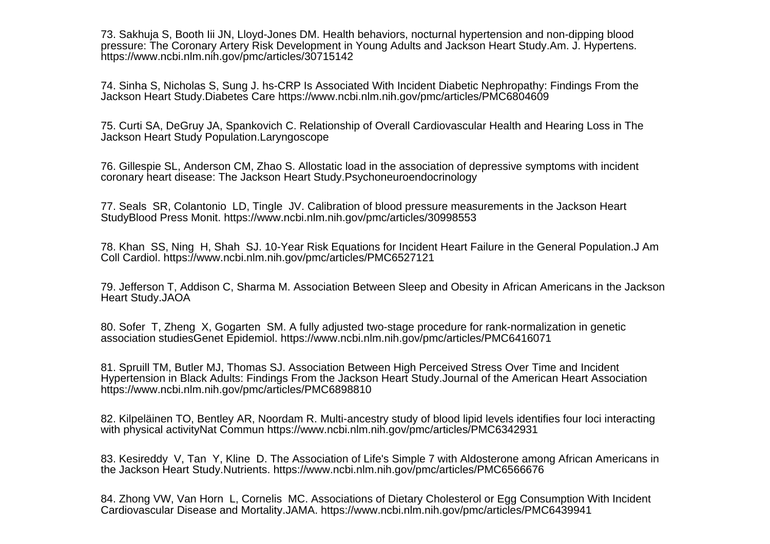73. Sakhuja S, Booth Iii JN, Lloyd-Jones DM. Health behaviors, nocturnal hypertension and non-dipping blood pressure: The Coronary Artery Risk Development in Young Adults and Jackson Heart Study.Am. J. Hypertens.https://www.ncbi.nlm.nih.gov/pmc/articles/30715142

74. Sinha S, Nicholas S, Sung J. hs-CRP Is Associated With Incident Diabetic Nephropathy: Findings From theJackson Heart Study.Diabetes Care https://www.ncbi.nlm.nih.gov/pmc/articles/PMC6804609

75. Curti SA, DeGruy JA, Spankovich C. Relationship of Overall Cardiovascular Health and Hearing Loss in TheJackson Heart Study Population.Laryngoscope

76. Gillespie SL, Anderson CM, Zhao S. Allostatic load in the association of depressive symptoms with incidentcoronary heart disease: The Jackson Heart Study.Psychoneuroendocrinology

77. Seals SR, Colantonio LD, Tingle JV. Calibration of blood pressure measurements in the Jackson HeartStudyBlood Press Monit. https://www.ncbi.nlm.nih.gov/pmc/articles/30998553

78. Khan SS, Ning H, Shah SJ. 10-Year Risk Equations for Incident Heart Failure in the General Population.J AmColl Cardiol. https://www.ncbi.nlm.nih.gov/pmc/articles/PMC6527121

79. Jefferson T, Addison C, Sharma M. Association Between Sleep and Obesity in African Americans in the JacksonHeart Study.JAOA

80. Sofer T, Zheng X, Gogarten SM. A fully adjusted two-stage procedure for rank-normalization in geneticassociation studiesGenet Epidemiol. https://www.ncbi.nlm.nih.gov/pmc/articles/PMC6416071

81. Spruill TM, Butler MJ, Thomas SJ. Association Between High Perceived Stress Over Time and Incident Hypertension in Black Adults: Findings From the Jackson Heart Study.Journal of the American Heart Associationhttps://www.ncbi.nlm.nih.gov/pmc/articles/PMC6898810

82. Kilpeläinen TO, Bentley AR, Noordam R. Multi-ancestry study of blood lipid levels identifies four loci interactingwith physical activityNat Commun https://www.ncbi.nlm.nih.gov/pmc/articles/PMC6342931

83. Kesireddy V, Tan Y, Kline D. The Association of Life's Simple 7 with Aldosterone among African Americans inthe Jackson Heart Study.Nutrients. https://www.ncbi.nlm.nih.gov/pmc/articles/PMC6566676

84. Zhong VW, Van Horn L, Cornelis MC. Associations of Dietary Cholesterol or Egg Consumption With IncidentCardiovascular Disease and Mortality.JAMA. https://www.ncbi.nlm.nih.gov/pmc/articles/PMC6439941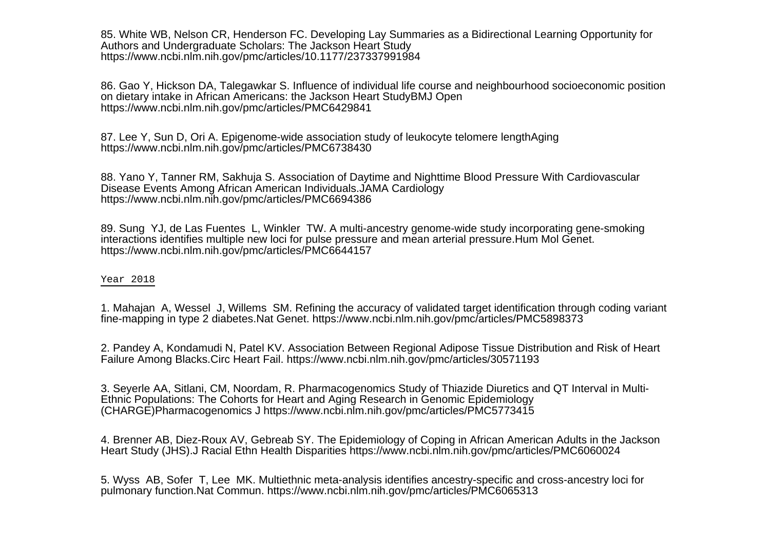85. White WB, Nelson CR, Henderson FC. Developing Lay Summaries as a Bidirectional Learning Opportunity forAuthors and Undergraduate Scholars: The Jackson Heart Studyhttps://www.ncbi.nlm.nih.gov/pmc/articles/10.1177/237337991984

86. Gao Y, Hickson DA, Talegawkar S. Influence of individual life course and neighbourhood socioeconomic positionon dietary intake in African Americans: the Jackson Heart StudyBMJ Openhttps://www.ncbi.nlm.nih.gov/pmc/articles/PMC6429841

87. Lee Y, Sun D, Ori A. Epigenome-wide association study of leukocyte telomere lengthAginghttps://www.ncbi.nlm.nih.gov/pmc/articles/PMC6738430

88. Yano Y, Tanner RM, Sakhuja S. Association of Daytime and Nighttime Blood Pressure With CardiovascularDisease Events Among African American Individuals.JAMA Cardiologyhttps://www.ncbi.nlm.nih.gov/pmc/articles/PMC6694386

89. Sung YJ, de Las Fuentes L, Winkler TW. A multi-ancestry genome-wide study incorporating gene-smokinginteractions identifies multiple new loci for pulse pressure and mean arterial pressure.Hum Mol Genet.https://www.ncbi.nlm.nih.gov/pmc/articles/PMC6644157

## Year 2018

1. Mahajan A, Wessel J, Willems SM. Refining the accuracy of validated target identification through coding variantfine-mapping in type 2 diabetes.Nat Genet. https://www.ncbi.nlm.nih.gov/pmc/articles/PMC5898373

2. Pandey A, Kondamudi N, Patel KV. Association Between Regional Adipose Tissue Distribution and Risk of HeartFailure Among Blacks.Circ Heart Fail. https://www.ncbi.nlm.nih.gov/pmc/articles/30571193

3. Seyerle AA, Sitlani, CM, Noordam, R. Pharmacogenomics Study of Thiazide Diuretics and QT Interval in Multi-Ethnic Populations: The Cohorts for Heart and Aging Research in Genomic Epidemiology(CHARGE)Pharmacogenomics J https://www.ncbi.nlm.nih.gov/pmc/articles/PMC5773415

4. Brenner AB, Diez-Roux AV, Gebreab SY. The Epidemiology of Coping in African American Adults in the JacksonHeart Study (JHS).J Racial Ethn Health Disparities https://www.ncbi.nlm.nih.gov/pmc/articles/PMC6060024

5. Wyss AB, Sofer T, Lee MK. Multiethnic meta-analysis identifies ancestry-specific and cross-ancestry loci forpulmonary function.Nat Commun. https://www.ncbi.nlm.nih.gov/pmc/articles/PMC6065313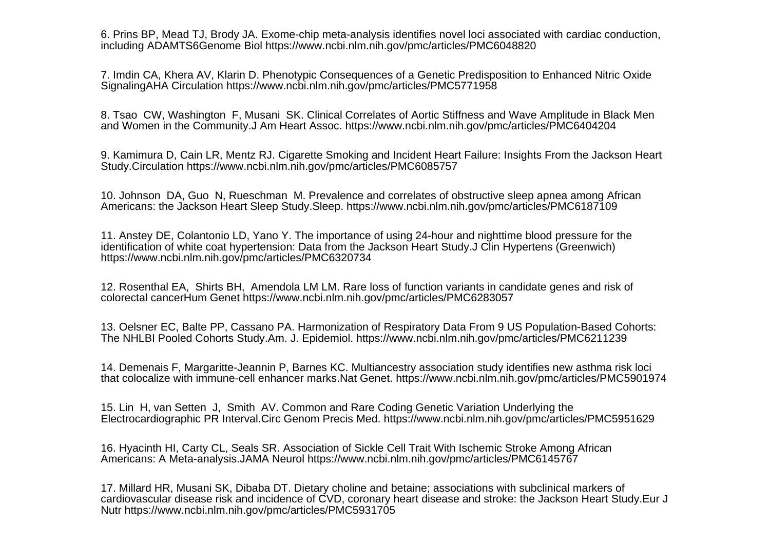6. Prins BP, Mead TJ, Brody JA. Exome-chip meta-analysis identifies novel loci associated with cardiac conduction,including ADAMTS6Genome Biol https://www.ncbi.nlm.nih.gov/pmc/articles/PMC6048820

7. Imdin CA, Khera AV, Klarin D. Phenotypic Consequences of a Genetic Predisposition to Enhanced Nitric OxideSignalingAHA Circulation https://www.ncbi.nlm.nih.gov/pmc/articles/PMC5771958

8. Tsao CW, Washington F, Musani SK. Clinical Correlates of Aortic Stiffness and Wave Amplitude in Black Menand Women in the Community.J Am Heart Assoc. https://www.ncbi.nlm.nih.gov/pmc/articles/PMC6404204

9. Kamimura D, Cain LR, Mentz RJ. Cigarette Smoking and Incident Heart Failure: Insights From the Jackson HeartStudy.Circulation https://www.ncbi.nlm.nih.gov/pmc/articles/PMC6085757

10. Johnson DA, Guo N, Rueschman M. Prevalence and correlates of obstructive sleep apnea among AfricanAmericans: the Jackson Heart Sleep Study.Sleep. https://www.ncbi.nlm.nih.gov/pmc/articles/PMC6187109

11. Anstey DE, Colantonio LD, Yano Y. The importance of using 24-hour and nighttime blood pressure for theidentification of white coat hypertension: Data from the Jackson Heart Study.J Clin Hypertens (Greenwich) https://www.ncbi.nlm.nih.gov/pmc/articles/PMC6320734

12. Rosenthal EA, Shirts BH, Amendola LM LM. Rare loss of function variants in candidate genes and risk ofcolorectal cancerHum Genet https://www.ncbi.nlm.nih.gov/pmc/articles/PMC6283057

13. Oelsner EC, Balte PP, Cassano PA. Harmonization of Respiratory Data From 9 US Population-Based Cohorts:The NHLBI Pooled Cohorts Study.Am. J. Epidemiol. https://www.ncbi.nlm.nih.gov/pmc/articles/PMC6211239

14. Demenais F, Margaritte-Jeannin P, Barnes KC. Multiancestry association study identifies new asthma risk locithat colocalize with immune-cell enhancer marks.Nat Genet. https://www.ncbi.nlm.nih.gov/pmc/articles/PMC5901974

15. Lin H, van Setten J, Smith AV. Common and Rare Coding Genetic Variation Underlying theElectrocardiographic PR Interval.Circ Genom Precis Med. https://www.ncbi.nlm.nih.gov/pmc/articles/PMC5951629

16. Hyacinth HI, Carty CL, Seals SR. Association of Sickle Cell Trait With Ischemic Stroke Among AfricanAmericans: A Meta-analysis.JAMA Neurol https://www.ncbi.nlm.nih.gov/pmc/articles/PMC6145767

17. Millard HR, Musani SK, Dibaba DT. Dietary choline and betaine; associations with subclinical markers of cardiovascular disease risk and incidence of CVD, coronary heart disease and stroke: the Jackson Heart Study.Eur JNutr https://www.ncbi.nlm.nih.gov/pmc/articles/PMC5931705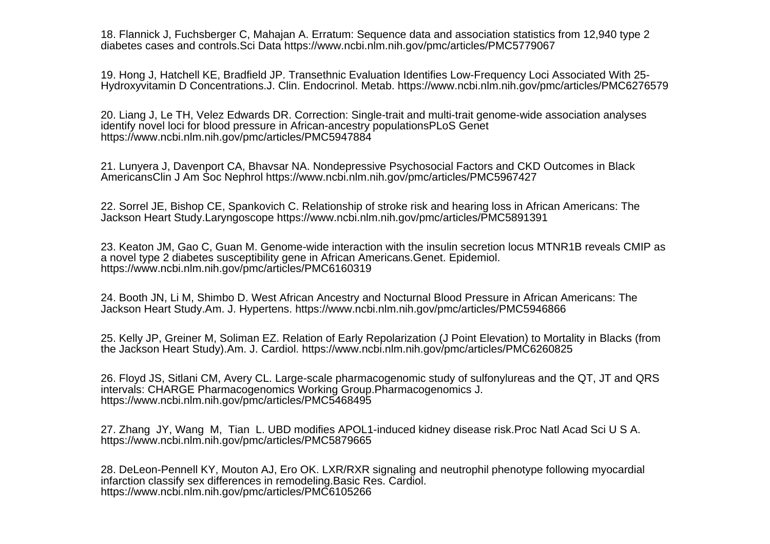18. Flannick J, Fuchsberger C, Mahajan A. Erratum: Sequence data and association statistics from 12,940 type 2diabetes cases and controls.Sci Data https://www.ncbi.nlm.nih.gov/pmc/articles/PMC5779067

19. Hong J, Hatchell KE, Bradfield JP. Transethnic Evaluation Identifies Low-Frequency Loci Associated With 25-Hydroxyvitamin D Concentrations.J. Clin. Endocrinol. Metab. https://www.ncbi.nlm.nih.gov/pmc/articles/PMC6276579

20. Liang J, Le TH, Velez Edwards DR. Correction: Single-trait and multi-trait genome-wide association analysesidentify novel loci for blood pressure in African-ancestry populationsPLoS Genethttps://www.ncbi.nlm.nih.gov/pmc/articles/PMC5947884

21. Lunyera J, Davenport CA, Bhavsar NA. Nondepressive Psychosocial Factors and CKD Outcomes in BlackAmericansClin J Am Soc Nephrol https://www.ncbi.nlm.nih.gov/pmc/articles/PMC5967427

22. Sorrel JE, Bishop CE, Spankovich C. Relationship of stroke risk and hearing loss in African Americans: TheJackson Heart Study.Laryngoscope https://www.ncbi.nlm.nih.gov/pmc/articles/PMC5891391

23. Keaton JM, Gao C, Guan M. Genome-wide interaction with the insulin secretion locus MTNR1B reveals CMIP asa novel type 2 diabetes susceptibility gene in African Americans.Genet. Epidemiol.https://www.ncbi.nlm.nih.gov/pmc/articles/PMC6160319

24. Booth JN, Li M, Shimbo D. West African Ancestry and Nocturnal Blood Pressure in African Americans: TheJackson Heart Study.Am. J. Hypertens. https://www.ncbi.nlm.nih.gov/pmc/articles/PMC5946866

25. Kelly JP, Greiner M, Soliman EZ. Relation of Early Repolarization (J Point Elevation) to Mortality in Blacks (fromthe Jackson Heart Study).Am. J. Cardiol. https://www.ncbi.nlm.nih.gov/pmc/articles/PMC6260825

26. Floyd JS, Sitlani CM, Avery CL. Large-scale pharmacogenomic study of sulfonylureas and the QT, JT and QRSintervals: CHARGE Pharmacogenomics Working Group.Pharmacogenomics J.https://www.ncbi.nlm.nih.gov/pmc/articles/PMC5468495

27. Zhang JY, Wang M, Tian L. UBD modifies APOL1-induced kidney disease risk.Proc Natl Acad Sci U S A.https://www.ncbi.nlm.nih.gov/pmc/articles/PMC5879665

28. DeLeon-Pennell KY, Mouton AJ, Ero OK. LXR/RXR signaling and neutrophil phenotype following myocardialinfarction classify sex differences in remodeling.Basic Res. Cardiol.https://www.ncbi.nlm.nih.gov/pmc/articles/PMC6105266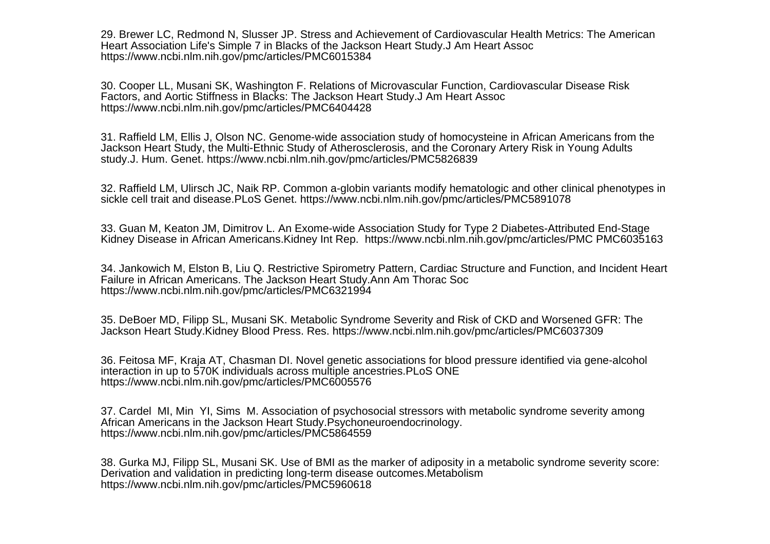29. Brewer LC, Redmond N, Slusser JP. Stress and Achievement of Cardiovascular Health Metrics: The AmericanHeart Association Life's Simple 7 in Blacks of the Jackson Heart Study.J Am Heart Assochttps://www.ncbi.nlm.nih.gov/pmc/articles/PMC6015384

30. Cooper LL, Musani SK, Washington F. Relations of Microvascular Function, Cardiovascular Disease RiskFactors, and Aortic Stiffness in Blacks: The Jackson Heart Study.J Am Heart Assochttps://www.ncbi.nlm.nih.gov/pmc/articles/PMC6404428

31. Raffield LM, Ellis J, Olson NC. Genome-wide association study of homocysteine in African Americans from theJackson Heart Study, the Multi-Ethnic Study of Atherosclerosis, and the Coronary Artery Risk in Young Adultsstudy.J. Hum. Genet. https://www.ncbi.nlm.nih.gov/pmc/articles/PMC5826839

32. Raffield LM, Ulirsch JC, Naik RP. Common a-globin variants modify hematologic and other clinical phenotypes insickle cell trait and disease.PLoS Genet. https://www.ncbi.nlm.nih.gov/pmc/articles/PMC5891078

33. Guan M, Keaton JM, Dimitrov L. An Exome-wide Association Study for Type 2 Diabetes-Attributed End-StageKidney Disease in African Americans.Kidney Int Rep. https://www.ncbi.nlm.nih.gov/pmc/articles/PMC PMC6035163

34. Jankowich M, Elston B, Liu Q. Restrictive Spirometry Pattern, Cardiac Structure and Function, and Incident HeartFailure in African Americans. The Jackson Heart Study.Ann Am Thorac Sochttps://www.ncbi.nlm.nih.gov/pmc/articles/PMC6321994

35. DeBoer MD, Filipp SL, Musani SK. Metabolic Syndrome Severity and Risk of CKD and Worsened GFR: TheJackson Heart Study.Kidney Blood Press. Res. https://www.ncbi.nlm.nih.gov/pmc/articles/PMC6037309

36. Feitosa MF, Kraja AT, Chasman DI. Novel genetic associations for blood pressure identified via gene-alcoholinteraction in up to 570K individuals across multiple ancestries.PLoS ONEhttps://www.ncbi.nlm.nih.gov/pmc/articles/PMC6005576

37. Cardel MI, Min YI, Sims M. Association of psychosocial stressors with metabolic syndrome severity amongAfrican Americans in the Jackson Heart Study.Psychoneuroendocrinology.https://www.ncbi.nlm.nih.gov/pmc/articles/PMC5864559

38. Gurka MJ, Filipp SL, Musani SK. Use of BMI as the marker of adiposity in a metabolic syndrome severity score:Derivation and validation in predicting long-term disease outcomes.Metabolismhttps://www.ncbi.nlm.nih.gov/pmc/articles/PMC5960618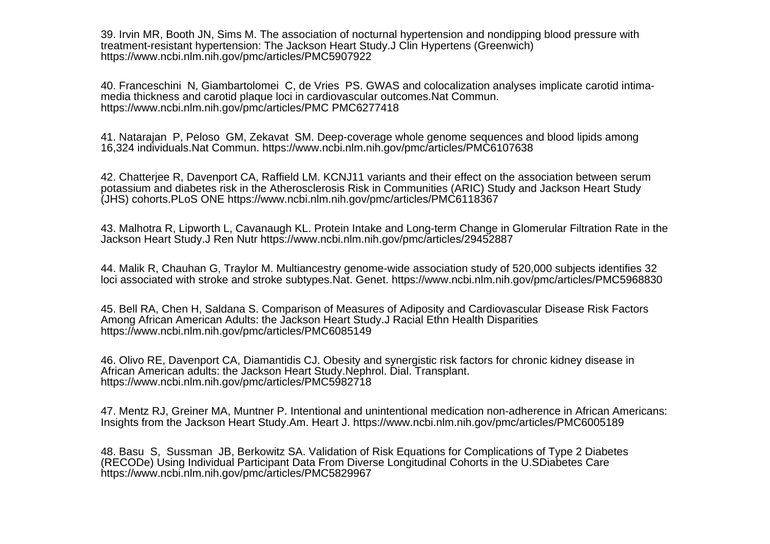39. Irvin MR, Booth JN, Sims M. The association of nocturnal hypertension and nondipping blood pressure withtreatment-resistant hypertension: The Jackson Heart Study.J Clin Hypertens (Greenwich)https://www.ncbi.nlm.nih.gov/pmc/articles/PMC5907922

40. Franceschini N, Giambartolomei C, de Vries PS. GWAS and colocalization analyses implicate carotid intimamedia thickness and carotid plaque loci in cardiovascular outcomes.Nat Commun.https://www.ncbi.nlm.nih.gov/pmc/articles/PMC PMC6277418

41. Natarajan P, Peloso GM, Zekavat SM. Deep-coverage whole genome sequences and blood lipids among16,324 individuals.Nat Commun. https://www.ncbi.nlm.nih.gov/pmc/articles/PMC6107638

42. Chatterjee R, Davenport CA, Raffield LM. KCNJ11 variants and their effect on the association between serum potassium and diabetes risk in the Atherosclerosis Risk in Communities (ARIC) Study and Jackson Heart Study(JHS) cohorts.PLoS ONE https://www.ncbi.nlm.nih.gov/pmc/articles/PMC6118367

43. Malhotra R, Lipworth L, Cavanaugh KL. Protein Intake and Long-term Change in Glomerular Filtration Rate in theJackson Heart Study.J Ren Nutr https://www.ncbi.nlm.nih.gov/pmc/articles/29452887

44. Malik R, Chauhan G, Traylor M. Multiancestry genome-wide association study of 520,000 subjects identifies 32loci associated with stroke and stroke subtypes.Nat. Genet. https://www.ncbi.nlm.nih.gov/pmc/articles/PMC5968830

45. Bell RA, Chen H, Saldana S. Comparison of Measures of Adiposity and Cardiovascular Disease Risk FactorsAmong African American Adults: the Jackson Heart Study.J Racial Ethn Health Disparitieshttps://www.ncbi.nlm.nih.gov/pmc/articles/PMC6085149

46. Olivo RE, Davenport CA, Diamantidis CJ. Obesity and synergistic risk factors for chronic kidney disease inAfrican American adults: the Jackson Heart Study.Nephrol. Dial. Transplant.https://www.ncbi.nlm.nih.gov/pmc/articles/PMC5982718

47. Mentz RJ, Greiner MA, Muntner P. Intentional and unintentional medication non-adherence in African Americans:Insights from the Jackson Heart Study.Am. Heart J. https://www.ncbi.nlm.nih.gov/pmc/articles/PMC6005189

48. Basu S, Sussman JB, Berkowitz SA. Validation of Risk Equations for Complications of Type 2 Diabetes(RECODe) Using Individual Participant Data From Diverse Longitudinal Cohorts in the U.SDiabetes Carehttps://www.ncbi.nlm.nih.gov/pmc/articles/PMC5829967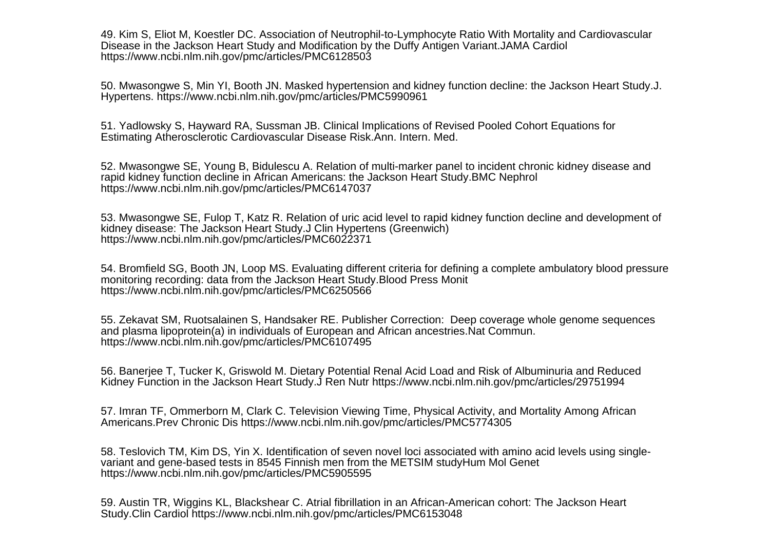49. Kim S, Eliot M, Koestler DC. Association of Neutrophil-to-Lymphocyte Ratio With Mortality and CardiovascularDisease in the Jackson Heart Study and Modification by the Duffy Antigen Variant.JAMA Cardiolhttps://www.ncbi.nlm.nih.gov/pmc/articles/PMC6128503

50. Mwasongwe S, Min YI, Booth JN. Masked hypertension and kidney function decline: the Jackson Heart Study.J.Hypertens. https://www.ncbi.nlm.nih.gov/pmc/articles/PMC5990961

51. Yadlowsky S, Hayward RA, Sussman JB. Clinical Implications of Revised Pooled Cohort Equations forEstimating Atherosclerotic Cardiovascular Disease Risk.Ann. Intern. Med.

52. Mwasongwe SE, Young B, Bidulescu A. Relation of multi-marker panel to incident chronic kidney disease andrapid kidney function decline in African Americans: the Jackson Heart Study.BMC Nephrolhttps://www.ncbi.nlm.nih.gov/pmc/articles/PMC6147037

53. Mwasongwe SE, Fulop T, Katz R. Relation of uric acid level to rapid kidney function decline and development ofkidney disease: The Jackson Heart Study.J Clin Hypertens (Greenwich)https://www.ncbi.nlm.nih.gov/pmc/articles/PMC6022371

54. Bromfield SG, Booth JN, Loop MS. Evaluating different criteria for defining a complete ambulatory blood pressuremonitoring recording: data from the Jackson Heart Study.Blood Press Monithttps://www.ncbi.nlm.nih.gov/pmc/articles/PMC6250566

55. Zekavat SM, Ruotsalainen S, Handsaker RE. Publisher Correction: Deep coverage whole genome sequencesand plasma lipoprotein(a) in individuals of European and African ancestries. Nat Commun. https://www.ncbi.nlm.nih.gov/pmc/articles/PMC6107495

56. Banerjee T, Tucker K, Griswold M. Dietary Potential Renal Acid Load and Risk of Albuminuria and ReducedKidney Function in the Jackson Heart Study.J Ren Nutr https://www.ncbi.nlm.nih.gov/pmc/articles/29751994

57. Imran TF, Ommerborn M, Clark C. Television Viewing Time, Physical Activity, and Mortality Among AfricanAmericans.Prev Chronic Dis https://www.ncbi.nlm.nih.gov/pmc/articles/PMC5774305

58. Teslovich TM, Kim DS, Yin X. Identification of seven novel loci associated with amino acid levels using singlevariant and gene-based tests in 8545 Finnish men from the METSIM studyHum Mol Genethttps://www.ncbi.nlm.nih.gov/pmc/articles/PMC5905595

59. Austin TR, Wiggins KL, Blackshear C. Atrial fibrillation in an African-American cohort: The Jackson HeartStudy.Clin Cardiol https://www.ncbi.nlm.nih.gov/pmc/articles/PMC6153048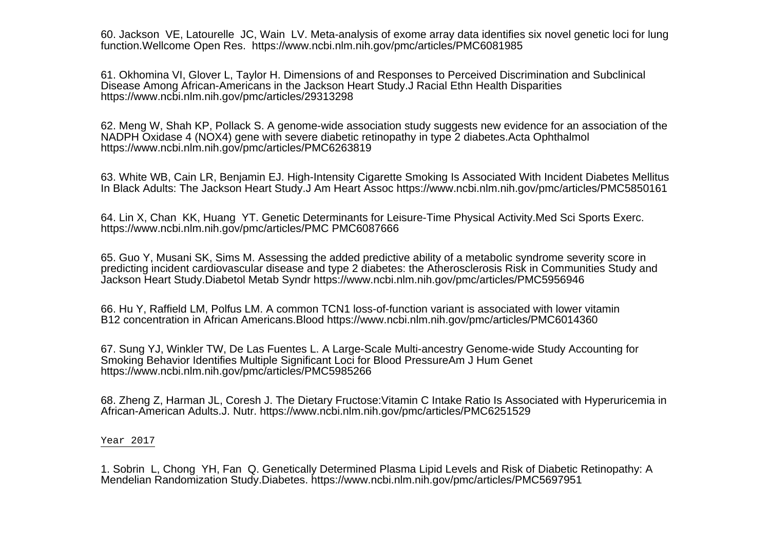60. Jackson VE, Latourelle JC, Wain LV. Meta-analysis of exome array data identifies six novel genetic loci for lungfunction.Wellcome Open Res. https://www.ncbi.nlm.nih.gov/pmc/articles/PMC6081985

61. Okhomina VI, Glover L, Taylor H. Dimensions of and Responses to Perceived Discrimination and SubclinicalDisease Among African-Americans in the Jackson Heart Study.J Racial Ethn Health Disparitieshttps://www.ncbi.nlm.nih.gov/pmc/articles/29313298

62. Meng W, Shah KP, Pollack S. A genome-wide association study suggests new evidence for an association of theNADPH Oxidase 4 (NOX4) gene with severe diabetic retinopathy in type 2 diabetes.Acta Ophthalmolhttps://www.ncbi.nlm.nih.gov/pmc/articles/PMC6263819

63. White WB, Cain LR, Benjamin EJ. High-Intensity Cigarette Smoking Is Associated With Incident Diabetes MellitusIn Black Adults: The Jackson Heart Study.J Am Heart Assoc https://www.ncbi.nlm.nih.gov/pmc/articles/PMC5850161

64. Lin X, Chan KK, Huang YT. Genetic Determinants for Leisure-Time Physical Activity.Med Sci Sports Exerc.https://www.ncbi.nlm.nih.gov/pmc/articles/PMC PMC6087666

65. Guo Y, Musani SK, Sims M. Assessing the added predictive ability of a metabolic syndrome severity score in predicting incident cardiovascular disease and type 2 diabetes: the Atherosclerosis Risk in Communities Study andJackson Heart Study.Diabetol Metab Syndr https://www.ncbi.nlm.nih.gov/pmc/articles/PMC5956946

66. Hu Y, Raffield LM, Polfus LM. A common TCN1 loss-of-function variant is associated with lower vitaminB12 concentration in African Americans.Blood https://www.ncbi.nlm.nih.gov/pmc/articles/PMC6014360

67. Sung YJ, Winkler TW, De Las Fuentes L. A Large-Scale Multi-ancestry Genome-wide Study Accounting forSmoking Behavior Identifies Multiple Significant Loci for Blood PressureAm J Hum Genethttps://www.ncbi.nlm.nih.gov/pmc/articles/PMC5985266

68. Zheng Z, Harman JL, Coresh J. The Dietary Fructose:Vitamin C Intake Ratio Is Associated with Hyperuricemia inAfrican-American Adults.J. Nutr. https://www.ncbi.nlm.nih.gov/pmc/articles/PMC6251529

Year 2017

1. Sobrin L, Chong YH, Fan Q. Genetically Determined Plasma Lipid Levels and Risk of Diabetic Retinopathy: AMendelian Randomization Study.Diabetes. https://www.ncbi.nlm.nih.gov/pmc/articles/PMC5697951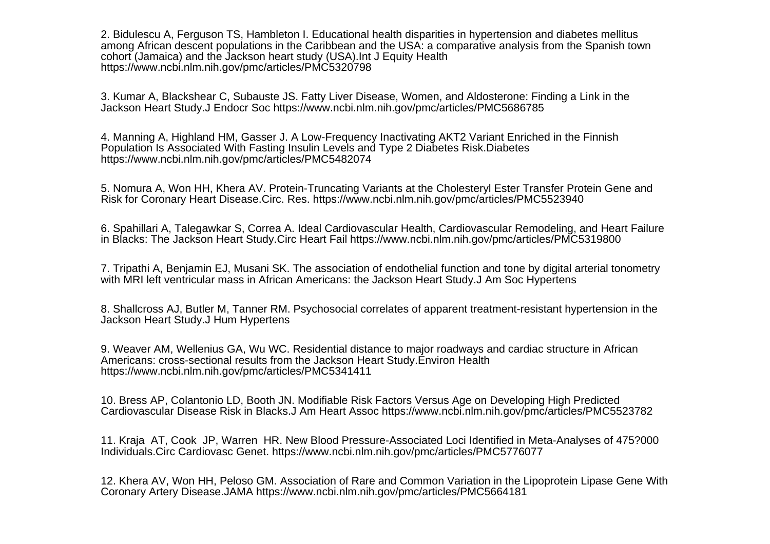2. Bidulescu A, Ferguson TS, Hambleton I. Educational health disparities in hypertension and diabetes mellitus among African descent populations in the Caribbean and the USA: a comparative analysis from the Spanish towncohort (Jamaica) and the Jackson heart study (USA).Int J Equity Healthhttps://www.ncbi.nlm.nih.gov/pmc/articles/PMC5320798

3. Kumar A, Blackshear C, Subauste JS. Fatty Liver Disease, Women, and Aldosterone: Finding a Link in theJackson Heart Study.J Endocr Soc https://www.ncbi.nlm.nih.gov/pmc/articles/PMC5686785

4. Manning A, Highland HM, Gasser J. A Low-Frequency Inactivating AKT2 Variant Enriched in the FinnishPopulation Is Associated With Fasting Insulin Levels and Type 2 Diabetes Risk.Diabeteshttps://www.ncbi.nlm.nih.gov/pmc/articles/PMC5482074

5. Nomura A, Won HH, Khera AV. Protein-Truncating Variants at the Cholesteryl Ester Transfer Protein Gene andRisk for Coronary Heart Disease.Circ. Res. https://www.ncbi.nlm.nih.gov/pmc/articles/PMC5523940

6. Spahillari A, Talegawkar S, Correa A. Ideal Cardiovascular Health, Cardiovascular Remodeling, and Heart Failurein Blacks: The Jackson Heart Study.Circ Heart Fail https://www.ncbi.nlm.nih.gov/pmc/articles/PMC5319800

7. Tripathi A, Benjamin EJ, Musani SK. The association of endothelial function and tone by digital arterial tonometrywith MRI left ventricular mass in African Americans: the Jackson Heart Study.J Am Soc Hypertens

8. Shallcross AJ, Butler M, Tanner RM. Psychosocial correlates of apparent treatment-resistant hypertension in theJackson Heart Study.J Hum Hypertens

9. Weaver AM, Wellenius GA, Wu WC. Residential distance to major roadways and cardiac structure in AfricanAmericans: cross-sectional results from the Jackson Heart Study.Environ Healthhttps://www.ncbi.nlm.nih.gov/pmc/articles/PMC5341411

10. Bress AP, Colantonio LD, Booth JN. Modifiable Risk Factors Versus Age on Developing High PredictedCardiovascular Disease Risk in Blacks.J Am Heart Assoc https://www.ncbi.nlm.nih.gov/pmc/articles/PMC5523782

11. Kraja AT, Cook JP, Warren HR. New Blood Pressure-Associated Loci Identified in Meta-Analyses of 475?000Individuals.Circ Cardiovasc Genet. https://www.ncbi.nlm.nih.gov/pmc/articles/PMC5776077

12. Khera AV, Won HH, Peloso GM. Association of Rare and Common Variation in the Lipoprotein Lipase Gene WithCoronary Artery Disease.JAMA https://www.ncbi.nlm.nih.gov/pmc/articles/PMC5664181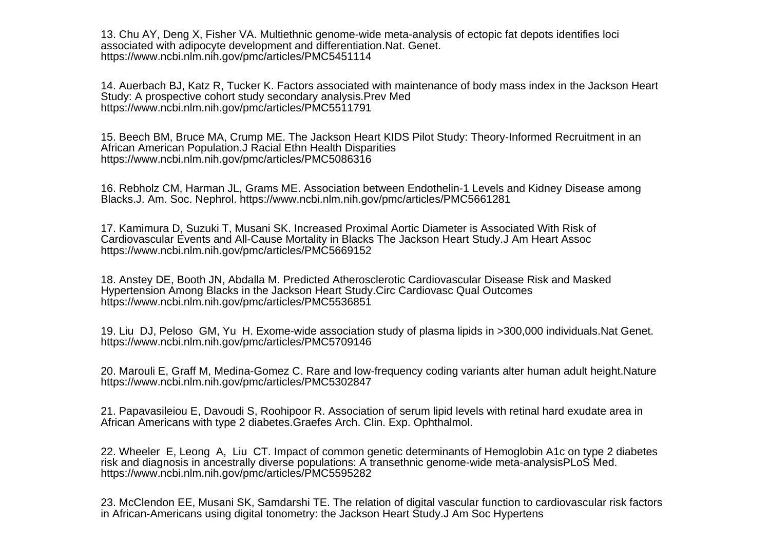13. Chu AY, Deng X, Fisher VA. Multiethnic genome-wide meta-analysis of ectopic fat depots identifies lociassociated with adipocyte development and differentiation.Nat. Genet.https://www.ncbi.nlm.nih.gov/pmc/articles/PMC5451114

14. Auerbach BJ, Katz R, Tucker K. Factors associated with maintenance of body mass index in the Jackson HeartStudy: A prospective cohort study secondary analysis.Prev Medhttps://www.ncbi.nlm.nih.gov/pmc/articles/PMC5511791

15. Beech BM, Bruce MA, Crump ME. The Jackson Heart KIDS Pilot Study: Theory-Informed Recruitment in anAfrican American Population.J Racial Ethn Health Disparitieshttps://www.ncbi.nlm.nih.gov/pmc/articles/PMC5086316

16. Rebholz CM, Harman JL, Grams ME. Association between Endothelin-1 Levels and Kidney Disease amongBlacks.J. Am. Soc. Nephrol. https://www.ncbi.nlm.nih.gov/pmc/articles/PMC5661281

17. Kamimura D, Suzuki T, Musani SK. Increased Proximal Aortic Diameter is Associated With Risk of Cardiovascular Events and All-Cause Mortality in Blacks The Jackson Heart Study.J Am Heart Assochttps://www.ncbi.nlm.nih.gov/pmc/articles/PMC5669152

18. Anstey DE, Booth JN, Abdalla M. Predicted Atherosclerotic Cardiovascular Disease Risk and MaskedHypertension Among Blacks in the Jackson Heart Study.Circ Cardiovasc Qual Outcomeshttps://www.ncbi.nlm.nih.gov/pmc/articles/PMC5536851

19. Liu DJ, Peloso GM, Yu H. Exome-wide association study of plasma lipids in >300,000 individuals.Nat Genet.https://www.ncbi.nlm.nih.gov/pmc/articles/PMC5709146

20. Marouli E, Graff M, Medina-Gomez C. Rare and low-frequency coding variants alter human adult height.Naturehttps://www.ncbi.nlm.nih.gov/pmc/articles/PMC5302847

21. Papavasileiou E, Davoudi S, Roohipoor R. Association of serum lipid levels with retinal hard exudate area inAfrican Americans with type 2 diabetes.Graefes Arch. Clin. Exp. Ophthalmol.

22. Wheeler E, Leong A, Liu CT. Impact of common genetic determinants of Hemoglobin A1c on type 2 diabetesrisk and diagnosis in ancestrally diverse populations: A transethnic genome-wide meta-analysisPLoS Med.https://www.ncbi.nlm.nih.gov/pmc/articles/PMC5595282

23. McClendon EE, Musani SK, Samdarshi TE. The relation of digital vascular function to cardiovascular risk factorsin African-Americans using digital tonometry: the Jackson Heart Study.J Am Soc Hypertens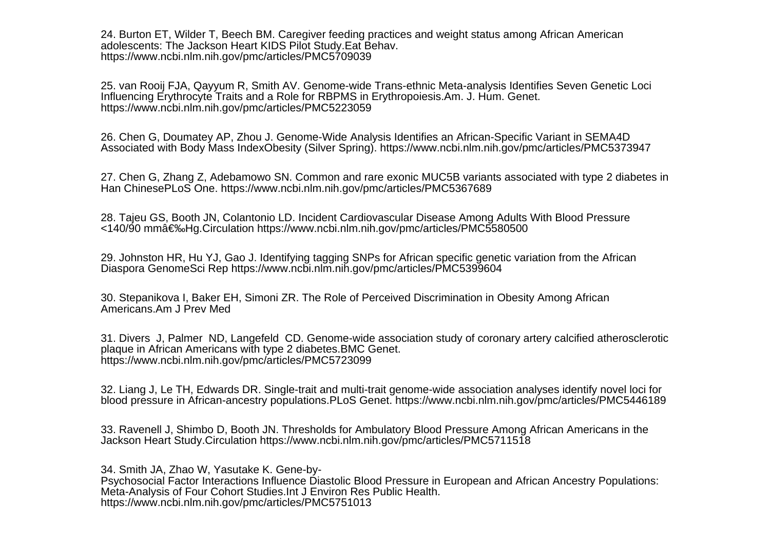24. Burton ET, Wilder T, Beech BM. Caregiver feeding practices and weight status among African Americanadolescents: The Jackson Heart KIDS Pilot Study.Eat Behav.https://www.ncbi.nlm.nih.gov/pmc/articles/PMC5709039

25. van Rooij FJA, Qayyum R, Smith AV. Genome-wide Trans-ethnic Meta-analysis Identifies Seven Genetic LociInfluencing Erythrocyte Traits and a Role for RBPMS in Erythropoiesis.Am. J. Hum. Genet.https://www.ncbi.nlm.nih.gov/pmc/articles/PMC5223059

26. Chen G, Doumatey AP, Zhou J. Genome-Wide Analysis Identifies an African-Specific Variant in SEMA4DAssociated with Body Mass IndexObesity (Silver Spring). https://www.ncbi.nlm.nih.gov/pmc/articles/PMC5373947

27. Chen G, Zhang Z, Adebamowo SN. Common and rare exonic MUC5B variants associated with type 2 diabetes inHan ChinesePLoS One. https://www.ncbi.nlm.nih.gov/pmc/articles/PMC5367689

28. Tajeu GS, Booth JN, Colantonio LD. Incident Cardiovascular Disease Among Adults With Blood Pressure<140/90 mm Hg.Circulation https://www.ncbi.nlm.nih.gov/pmc/articles/PMC5580500

29. Johnston HR, Hu YJ, Gao J. Identifying tagging SNPs for African specific genetic variation from the AfricanDiaspora GenomeSci Rep https://www.ncbi.nlm.nih.gov/pmc/articles/PMC5399604

30. Stepanikova I, Baker EH, Simoni ZR. The Role of Perceived Discrimination in Obesity Among AfricanAmericans.Am J Prev Med

31. Divers J, Palmer ND, Langefeld CD. Genome-wide association study of coronary artery calcified atheroscleroticplaque in African Americans with type 2 diabetes.BMC Genet.https://www.ncbi.nlm.nih.gov/pmc/articles/PMC5723099

32. Liang J, Le TH, Edwards DR. Single-trait and multi-trait genome-wide association analyses identify novel loci forblood pressure in African-ancestry populations.PLoS Genet. https://www.ncbi.nlm.nih.gov/pmc/articles/PMC5446189

33. Ravenell J, Shimbo D, Booth JN. Thresholds for Ambulatory Blood Pressure Among African Americans in theJackson Heart Study.Circulation https://www.ncbi.nlm.nih.gov/pmc/articles/PMC5711518

34. Smith JA, Zhao W, Yasutake K. Gene-by-Psychosocial Factor Interactions Influence Diastolic Blood Pressure in European and African Ancestry Populations: Meta-Analysis of Four Cohort Studies.Int J Environ Res Public Health. https://www.ncbi.nlm.nih.gov/pmc/articles/PMC5751013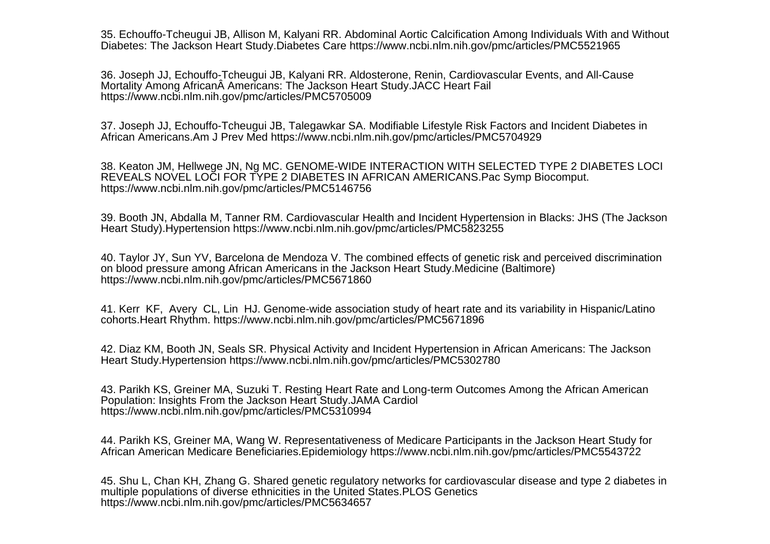35. Echouffo-Tcheugui JB, Allison M, Kalyani RR. Abdominal Aortic Calcification Among Individuals With and WithoutDiabetes: The Jackson Heart Study.Diabetes Care https://www.ncbi.nlm.nih.gov/pmc/articles/PMC5521965

36. Joseph JJ, Echouffo-Tcheugui JB, Kalyani RR. Aldosterone, Renin, Cardiovascular Events, and All-CauseMortality Among African A Americans: The Jackson Heart Study.JACC Heart Fail https://www.ncbi.nlm.nih.gov/pmc/articles/PMC5705009

37. Joseph JJ, Echouffo-Tcheugui JB, Talegawkar SA. Modifiable Lifestyle Risk Factors and Incident Diabetes inAfrican Americans.Am J Prev Med https://www.ncbi.nlm.nih.gov/pmc/articles/PMC5704929

38. Keaton JM, Hellwege JN, Ng MC. GENOME-WIDE INTERACTION WITH SELECTED TYPE 2 DIABETES LOCIREVEALS NOVEL LOCI FOR TYPE 2 DIABETES IN AFRICAN AMERICANS.Pac Symp Biocomput.https://www.ncbi.nlm.nih.gov/pmc/articles/PMC5146756

39. Booth JN, Abdalla M, Tanner RM. Cardiovascular Health and Incident Hypertension in Blacks: JHS (The JacksonHeart Study).Hypertension https://www.ncbi.nlm.nih.gov/pmc/articles/PMC5823255

40. Taylor JY, Sun YV, Barcelona de Mendoza V. The combined effects of genetic risk and perceived discriminationon blood pressure among African Americans in the Jackson Heart Study.Medicine (Baltimore)https://www.ncbi.nlm.nih.gov/pmc/articles/PMC5671860

41. Kerr KF, Avery CL, Lin HJ. Genome-wide association study of heart rate and its variability in Hispanic/Latinocohorts.Heart Rhythm. https://www.ncbi.nlm.nih.gov/pmc/articles/PMC5671896

42. Diaz KM, Booth JN, Seals SR. Physical Activity and Incident Hypertension in African Americans: The JacksonHeart Study.Hypertension https://www.ncbi.nlm.nih.gov/pmc/articles/PMC5302780

43. Parikh KS, Greiner MA, Suzuki T. Resting Heart Rate and Long-term Outcomes Among the African AmericanPopulation: Insights From the Jackson Heart Study.JAMA Cardiolhttps://www.ncbi.nlm.nih.gov/pmc/articles/PMC5310994

44. Parikh KS, Greiner MA, Wang W. Representativeness of Medicare Participants in the Jackson Heart Study forAfrican American Medicare Beneficiaries.Epidemiology https://www.ncbi.nlm.nih.gov/pmc/articles/PMC5543722

45. Shu L, Chan KH, Zhang G. Shared genetic regulatory networks for cardiovascular disease and type 2 diabetes inmultiple populations of diverse ethnicities in the United States.PLOS Geneticshttps://www.ncbi.nlm.nih.gov/pmc/articles/PMC5634657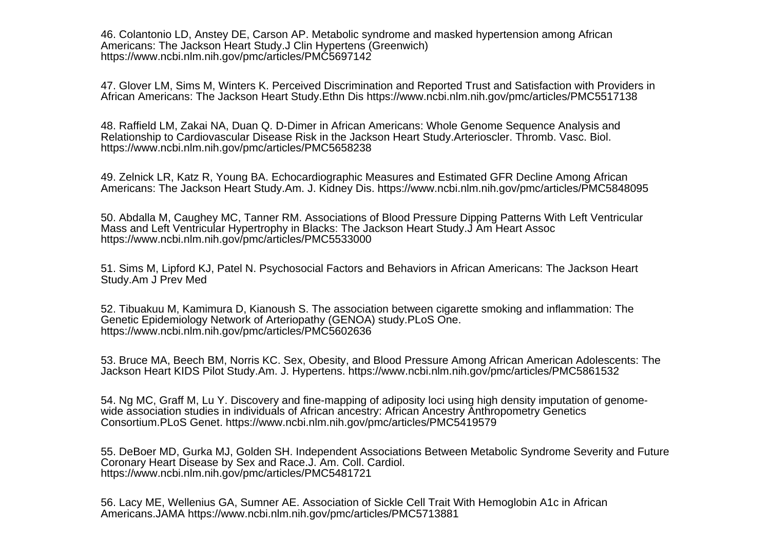46. Colantonio LD, Anstey DE, Carson AP. Metabolic syndrome and masked hypertension among AfricanAmericans: The Jackson Heart Study.J Clin Hypertens (Greenwich)https://www.ncbi.nlm.nih.gov/pmc/articles/PMC5697142

47. Glover LM, Sims M, Winters K. Perceived Discrimination and Reported Trust and Satisfaction with Providers inAfrican Americans: The Jackson Heart Study.Ethn Dis https://www.ncbi.nlm.nih.gov/pmc/articles/PMC5517138

48. Raffield LM, Zakai NA, Duan Q. D-Dimer in African Americans: Whole Genome Sequence Analysis andRelationship to Cardiovascular Disease Risk in the Jackson Heart Study.Arterioscler. Thromb. Vasc. Biol.https://www.ncbi.nlm.nih.gov/pmc/articles/PMC5658238

49. Zelnick LR, Katz R, Young BA. Echocardiographic Measures and Estimated GFR Decline Among AfricanAmericans: The Jackson Heart Study.Am. J. Kidney Dis. https://www.ncbi.nlm.nih.gov/pmc/articles/PMC5848095

50. Abdalla M, Caughey MC, Tanner RM. Associations of Blood Pressure Dipping Patterns With Left VentricularMass and Left Ventricular Hypertrophy in Blacks: The Jackson Heart Study.J Am Heart Assochttps://www.ncbi.nlm.nih.gov/pmc/articles/PMC5533000

51. Sims M, Lipford KJ, Patel N. Psychosocial Factors and Behaviors in African Americans: The Jackson HeartStudy.Am J Prev Med

52. Tibuakuu M, Kamimura D, Kianoush S. The association between cigarette smoking and inflammation: TheGenetic Epidemiology Network of Arteriopathy (GENOA) study.PLoS One.https://www.ncbi.nlm.nih.gov/pmc/articles/PMC5602636

53. Bruce MA, Beech BM, Norris KC. Sex, Obesity, and Blood Pressure Among African American Adolescents: TheJackson Heart KIDS Pilot Study.Am. J. Hypertens. https://www.ncbi.nlm.nih.gov/pmc/articles/PMC5861532

54. Ng MC, Graff M, Lu Y. Discovery and fine-mapping of adiposity loci using high density imputation of genomewide association studies in individuals of African ancestry: African Ancestry Anthropometry GeneticsConsortium.PLoS Genet. https://www.ncbi.nlm.nih.gov/pmc/articles/PMC5419579

55. DeBoer MD, Gurka MJ, Golden SH. Independent Associations Between Metabolic Syndrome Severity and FutureCoronary Heart Disease by Sex and Race.J. Am. Coll. Cardiol.https://www.ncbi.nlm.nih.gov/pmc/articles/PMC5481721

56. Lacy ME, Wellenius GA, Sumner AE. Association of Sickle Cell Trait With Hemoglobin A1c in AfricanAmericans.JAMA https://www.ncbi.nlm.nih.gov/pmc/articles/PMC5713881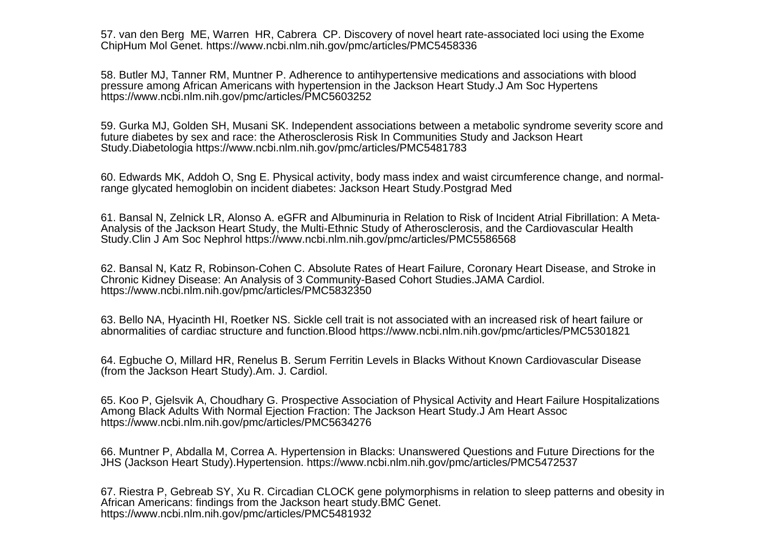57. van den Berg ME, Warren HR, Cabrera CP. Discovery of novel heart rate-associated loci using the ExomeChipHum Mol Genet. https://www.ncbi.nlm.nih.gov/pmc/articles/PMC5458336

58. Butler MJ, Tanner RM, Muntner P. Adherence to antihypertensive medications and associations with bloodpressure among African Americans with hypertension in the Jackson Heart Study.J Am Soc Hypertenshttps://www.ncbi.nlm.nih.gov/pmc/articles/PMC5603252

59. Gurka MJ, Golden SH, Musani SK. Independent associations between a metabolic syndrome severity score andfuture diabetes by sex and race: the Atherosclerosis Risk In Communities Study and Jackson HeartStudy.Diabetologia https://www.ncbi.nlm.nih.gov/pmc/articles/PMC5481783

60. Edwards MK, Addoh O, Sng E. Physical activity, body mass index and waist circumference change, and normalrange glycated hemoglobin on incident diabetes: Jackson Heart Study.Postgrad Med

61. Bansal N, Zelnick LR, Alonso A. eGFR and Albuminuria in Relation to Risk of Incident Atrial Fibrillation: A Meta-Analysis of the Jackson Heart Study, the Multi-Ethnic Study of Atherosclerosis, and the Cardiovascular HealthStudy.Clin J Am Soc Nephrol https://www.ncbi.nlm.nih.gov/pmc/articles/PMC5586568

62. Bansal N, Katz R, Robinson-Cohen C. Absolute Rates of Heart Failure, Coronary Heart Disease, and Stroke inChronic Kidney Disease: An Analysis of 3 Community-Based Cohort Studies.JAMA Cardiol. https://www.ncbi.nlm.nih.gov/pmc/articles/PMC5832350

63. Bello NA, Hyacinth HI, Roetker NS. Sickle cell trait is not associated with an increased risk of heart failure orabnormalities of cardiac structure and function.Blood https://www.ncbi.nlm.nih.gov/pmc/articles/PMC5301821

64. Egbuche O, Millard HR, Renelus B. Serum Ferritin Levels in Blacks Without Known Cardiovascular Disease(from the Jackson Heart Study).Am. J. Cardiol.

65. Koo P, Gjelsvik A, Choudhary G. Prospective Association of Physical Activity and Heart Failure HospitalizationsAmong Black Adults With Normal Ejection Fraction: The Jackson Heart Study.J Am Heart Assochttps://www.ncbi.nlm.nih.gov/pmc/articles/PMC5634276

66. Muntner P, Abdalla M, Correa A. Hypertension in Blacks: Unanswered Questions and Future Directions for theJHS (Jackson Heart Study).Hypertension. https://www.ncbi.nlm.nih.gov/pmc/articles/PMC5472537

67. Riestra P, Gebreab SY, Xu R. Circadian CLOCK gene polymorphisms in relation to sleep patterns and obesity inAfrican Americans: findings from the Jackson heart study.BMC Genet.https://www.ncbi.nlm.nih.gov/pmc/articles/PMC5481932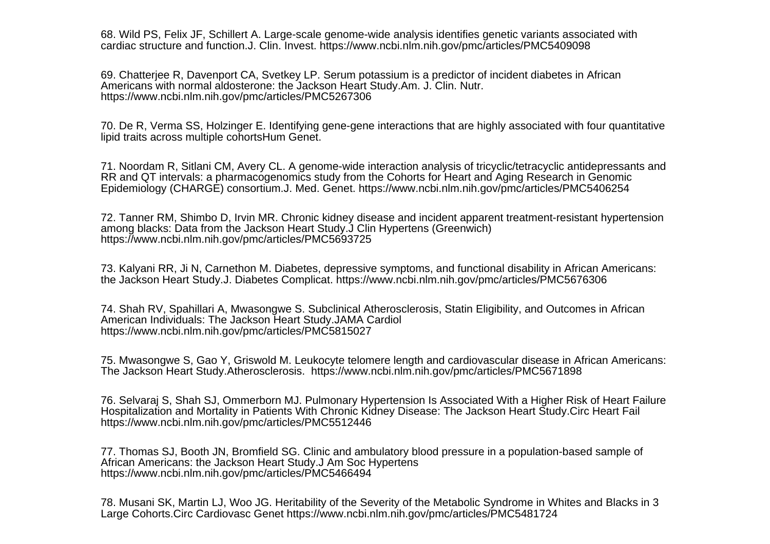68. Wild PS, Felix JF, Schillert A. Large-scale genome-wide analysis identifies genetic variants associated withcardiac structure and function.J. Clin. Invest. https://www.ncbi.nlm.nih.gov/pmc/articles/PMC5409098

69. Chatterjee R, Davenport CA, Svetkey LP. Serum potassium is a predictor of incident diabetes in AfricanAmericans with normal aldosterone: the Jackson Heart Study.Am. J. Clin. Nutr.https://www.ncbi.nlm.nih.gov/pmc/articles/PMC5267306

70. De R, Verma SS, Holzinger E. Identifying gene-gene interactions that are highly associated with four quantitativelipid traits across multiple cohortsHum Genet.

71. Noordam R, Sitlani CM, Avery CL. A genome-wide interaction analysis of tricyclic/tetracyclic antidepressants andRR and QT intervals: a pharmacogenomics study from the Cohorts for Heart and Aging Research in GenomicEpidemiology (CHARGE) consortium.J. Med. Genet. https://www.ncbi.nlm.nih.gov/pmc/articles/PMC5406254

72. Tanner RM, Shimbo D, Irvin MR. Chronic kidney disease and incident apparent treatment-resistant hypertensionamong blacks: Data from the Jackson Heart Study.J Clin Hypertens (Greenwich)https://www.ncbi.nlm.nih.gov/pmc/articles/PMC5693725

73. Kalyani RR, Ji N, Carnethon M. Diabetes, depressive symptoms, and functional disability in African Americans:the Jackson Heart Study.J. Diabetes Complicat. https://www.ncbi.nlm.nih.gov/pmc/articles/PMC5676306

74. Shah RV, Spahillari A, Mwasongwe S. Subclinical Atherosclerosis, Statin Eligibility, and Outcomes in AfricanAmerican Individuals: The Jackson Heart Study.JAMA Cardiolhttps://www.ncbi.nlm.nih.gov/pmc/articles/PMC5815027

75. Mwasongwe S, Gao Y, Griswold M. Leukocyte telomere length and cardiovascular disease in African Americans:The Jackson Heart Study.Atherosclerosis. https://www.ncbi.nlm.nih.gov/pmc/articles/PMC5671898

76. Selvaraj S, Shah SJ, Ommerborn MJ. Pulmonary Hypertension Is Associated With a Higher Risk of Heart FailureHospitalization and Mortality in Patients With Chronic Kidney Disease: The Jackson Heart Study.Circ Heart Failhttps://www.ncbi.nlm.nih.gov/pmc/articles/PMC5512446

77. Thomas SJ, Booth JN, Bromfield SG. Clinic and ambulatory blood pressure in a population-based sample ofAfrican Americans: the Jackson Heart Study.J Am Soc Hypertenshttps://www.ncbi.nlm.nih.gov/pmc/articles/PMC5466494

78. Musani SK, Martin LJ, Woo JG. Heritability of the Severity of the Metabolic Syndrome in Whites and Blacks in 3Large Cohorts.Circ Cardiovasc Genet https://www.ncbi.nlm.nih.gov/pmc/articles/PMC5481724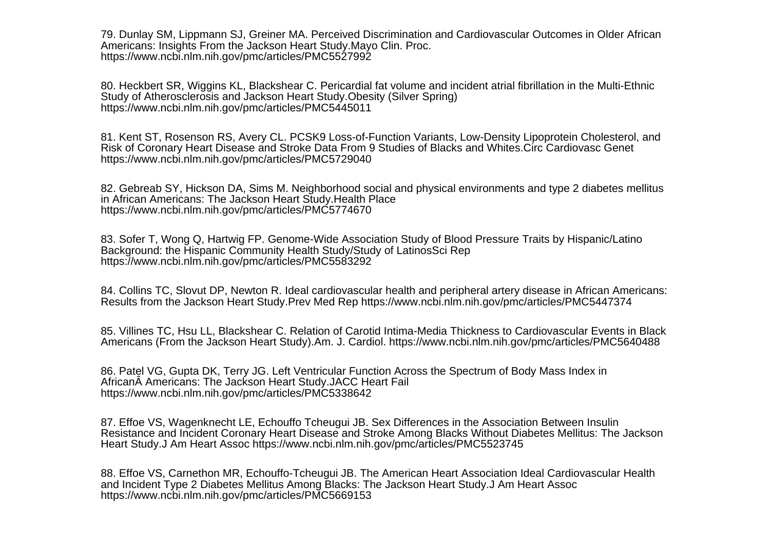79. Dunlay SM, Lippmann SJ, Greiner MA. Perceived Discrimination and Cardiovascular Outcomes in Older AfricanAmericans: Insights From the Jackson Heart Study.Mayo Clin. Proc.https://www.ncbi.nlm.nih.gov/pmc/articles/PMC5527992

80. Heckbert SR, Wiggins KL, Blackshear C. Pericardial fat volume and incident atrial fibrillation in the Multi-EthnicStudy of Atherosclerosis and Jackson Heart Study.Obesity (Silver Spring)https://www.ncbi.nlm.nih.gov/pmc/articles/PMC5445011

81. Kent ST, Rosenson RS, Avery CL. PCSK9 Loss-of-Function Variants, Low-Density Lipoprotein Cholesterol, andRisk of Coronary Heart Disease and Stroke Data From 9 Studies of Blacks and Whites.Circ Cardiovasc Genethttps://www.ncbi.nlm.nih.gov/pmc/articles/PMC5729040

82. Gebreab SY, Hickson DA, Sims M. Neighborhood social and physical environments and type 2 diabetes mellitusin African Americans: The Jackson Heart Study.Health Placehttps://www.ncbi.nlm.nih.gov/pmc/articles/PMC5774670

83. Sofer T, Wong Q, Hartwig FP. Genome-Wide Association Study of Blood Pressure Traits by Hispanic/LatinoBackground: the Hispanic Community Health Study/Study of LatinosSci Rephttps://www.ncbi.nlm.nih.gov/pmc/articles/PMC5583292

84. Collins TC, Slovut DP, Newton R. Ideal cardiovascular health and peripheral artery disease in African Americans:Results from the Jackson Heart Study.Prev Med Rep https://www.ncbi.nlm.nih.gov/pmc/articles/PMC5447374

85. Villines TC, Hsu LL, Blackshear C. Relation of Carotid Intima-Media Thickness to Cardiovascular Events in BlackAmericans (From the Jackson Heart Study).Am. J. Cardiol. https://www.ncbi.nlm.nih.gov/pmc/articles/PMC5640488

86. Patel VG, Gupta DK, Terry JG. Left Ventricular Function Across the Spectrum of Body Mass Index inAfrican A Americans: The Jackson Heart Study. JACC Heart Fail https://www.ncbi.nlm.nih.gov/pmc/articles/PMC5338642

87. Effoe VS, Wagenknecht LE, Echouffo Tcheugui JB. Sex Differences in the Association Between Insulin Resistance and Incident Coronary Heart Disease and Stroke Among Blacks Without Diabetes Mellitus: The JacksonHeart Study.J Am Heart Assoc https://www.ncbi.nlm.nih.gov/pmc/articles/PMC5523745

88. Effoe VS, Carnethon MR, Echouffo-Tcheugui JB. The American Heart Association Ideal Cardiovascular Healthand Incident Type 2 Diabetes Mellitus Among Blacks: The Jackson Heart Study.J Am Heart Assochttps://www.ncbi.nlm.nih.gov/pmc/articles/PMC5669153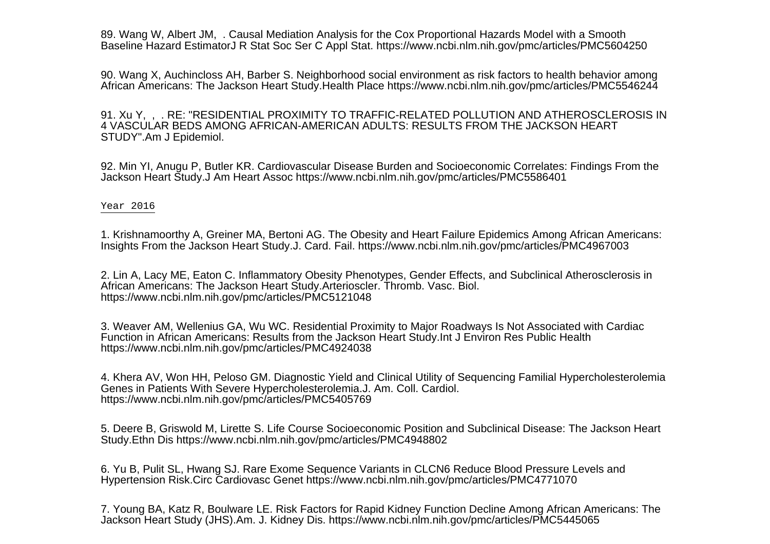89. Wang W, Albert JM, . Causal Mediation Analysis for the Cox Proportional Hazards Model with a SmoothBaseline Hazard EstimatorJ R Stat Soc Ser C Appl Stat. https://www.ncbi.nlm.nih.gov/pmc/articles/PMC5604250

90. Wang X, Auchincloss AH, Barber S. Neighborhood social environment as risk factors to health behavior amongAfrican Americans: The Jackson Heart Study.Health Place https://www.ncbi.nlm.nih.gov/pmc/articles/PMC5546244

91. Xu Y, , . RE: "RESIDENTIAL PROXIMITY TO TRAFFIC-RELATED POLLUTION AND ATHEROSCLEROSIS IN4 VASCULAR BEDS AMONG AFRICAN-AMERICAN ADULTS: RESULTS FROM THE JACKSON HEARTSTUDY".Am J Epidemiol.

92. Min YI, Anugu P, Butler KR. Cardiovascular Disease Burden and Socioeconomic Correlates: Findings From theJackson Heart Study.J Am Heart Assoc https://www.ncbi.nlm.nih.gov/pmc/articles/PMC5586401

## Year 2016

1. Krishnamoorthy A, Greiner MA, Bertoni AG. The Obesity and Heart Failure Epidemics Among African Americans:Insights From the Jackson Heart Study.J. Card. Fail. https://www.ncbi.nlm.nih.gov/pmc/articles/PMC4967003

2. Lin A, Lacy ME, Eaton C. Inflammatory Obesity Phenotypes, Gender Effects, and Subclinical Atherosclerosis inAfrican Americans: The Jackson Heart Study.Arterioscler. Thromb. Vasc. Biol.https://www.ncbi.nlm.nih.gov/pmc/articles/PMC5121048

3. Weaver AM, Wellenius GA, Wu WC. Residential Proximity to Major Roadways Is Not Associated with CardiacFunction in African Americans: Results from the Jackson Heart Study.Int J Environ Res Public Healthhttps://www.ncbi.nlm.nih.gov/pmc/articles/PMC4924038

4. Khera AV, Won HH, Peloso GM. Diagnostic Yield and Clinical Utility of Sequencing Familial HypercholesterolemiaGenes in Patients With Severe Hypercholesterolemia.J. Am. Coll. Cardiol.https://www.ncbi.nlm.nih.gov/pmc/articles/PMC5405769

5. Deere B, Griswold M, Lirette S. Life Course Socioeconomic Position and Subclinical Disease: The Jackson HeartStudy.Ethn Dis https://www.ncbi.nlm.nih.gov/pmc/articles/PMC4948802

6. Yu B, Pulit SL, Hwang SJ. Rare Exome Sequence Variants in CLCN6 Reduce Blood Pressure Levels andHypertension Risk.Circ Cardiovasc Genet https://www.ncbi.nlm.nih.gov/pmc/articles/PMC4771070

7. Young BA, Katz R, Boulware LE. Risk Factors for Rapid Kidney Function Decline Among African Americans: TheJackson Heart Study (JHS).Am. J. Kidney Dis. https://www.ncbi.nlm.nih.gov/pmc/articles/PMC5445065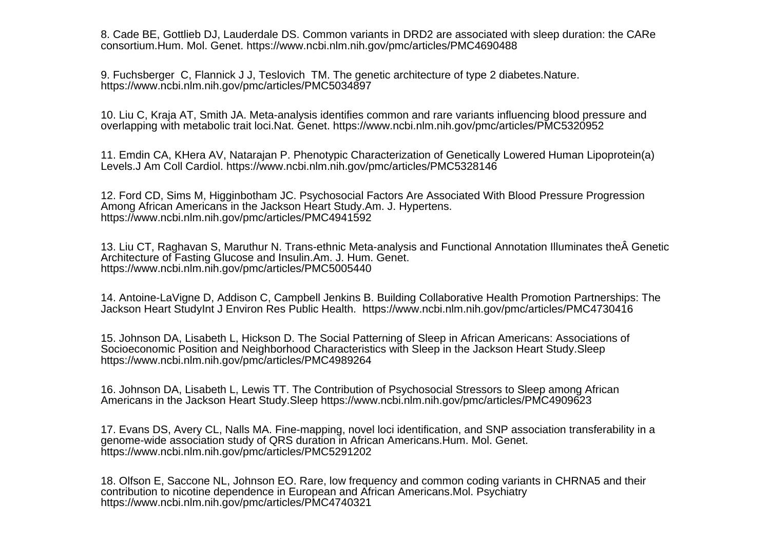8. Cade BE, Gottlieb DJ, Lauderdale DS. Common variants in DRD2 are associated with sleep duration: the CAReconsortium.Hum. Mol. Genet. https://www.ncbi.nlm.nih.gov/pmc/articles/PMC4690488

9. Fuchsberger C, Flannick J J, Teslovich TM. The genetic architecture of type 2 diabetes.Nature.https://www.ncbi.nlm.nih.gov/pmc/articles/PMC5034897

10. Liu C, Kraja AT, Smith JA. Meta-analysis identifies common and rare variants influencing blood pressure andoverlapping with metabolic trait loci.Nat. Genet. https://www.ncbi.nlm.nih.gov/pmc/articles/PMC5320952

11. Emdin CA, KHera AV, Natarajan P. Phenotypic Characterization of Genetically Lowered Human Lipoprotein(a)Levels.J Am Coll Cardiol. https://www.ncbi.nlm.nih.gov/pmc/articles/PMC5328146

12. Ford CD, Sims M, Higginbotham JC. Psychosocial Factors Are Associated With Blood Pressure ProgressionAmong African Americans in the Jackson Heart Study.Am. J. Hypertens.https://www.ncbi.nlm.nih.gov/pmc/articles/PMC4941592

13. Liu CT, Raghavan S, Maruthur N. Trans-ethnic Meta-analysis and Functional Annotation Illuminates the Genetic Architecture of Fasting Glucose and Insulin.Am. J. Hum. Genet.https://www.ncbi.nlm.nih.gov/pmc/articles/PMC5005440

14. Antoine-LaVigne D, Addison C, Campbell Jenkins B. Building Collaborative Health Promotion Partnerships: TheJackson Heart StudyInt J Environ Res Public Health. https://www.ncbi.nlm.nih.gov/pmc/articles/PMC4730416

15. Johnson DA, Lisabeth L, Hickson D. The Social Patterning of Sleep in African Americans: Associations ofSocioeconomic Position and Neighborhood Characteristics with Sleep in the Jackson Heart Study.Sleephttps://www.ncbi.nlm.nih.gov/pmc/articles/PMC4989264

16. Johnson DA, Lisabeth L, Lewis TT. The Contribution of Psychosocial Stressors to Sleep among AfricanAmericans in the Jackson Heart Study.Sleep https://www.ncbi.nlm.nih.gov/pmc/articles/PMC4909623

17. Evans DS, Avery CL, Nalls MA. Fine-mapping, novel loci identification, and SNP association transferability in agenome-wide association study of QRS duration in African Americans.Hum. Mol. Genet.https://www.ncbi.nlm.nih.gov/pmc/articles/PMC5291202

18. Olfson E, Saccone NL, Johnson EO. Rare, low frequency and common coding variants in CHRNA5 and theircontribution to nicotine dependence in European and African Americans.Mol. Psychiatryhttps://www.ncbi.nlm.nih.gov/pmc/articles/PMC4740321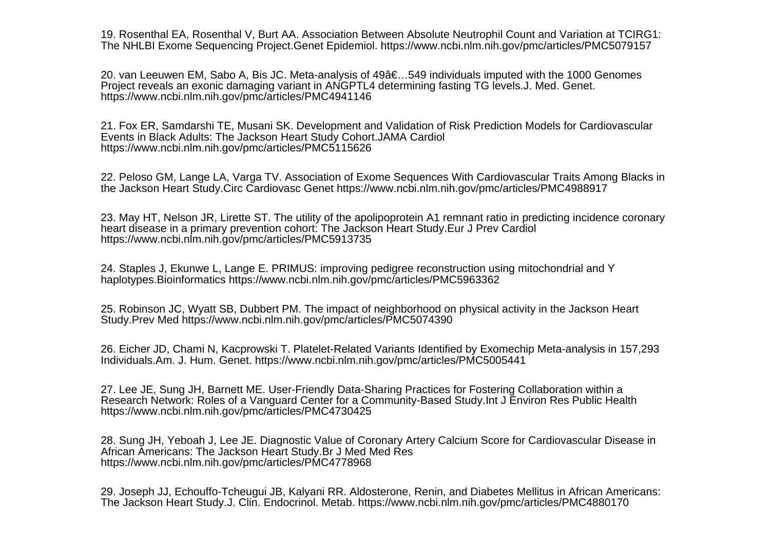19. Rosenthal EA, Rosenthal V, Burt AA. Association Between Absolute Neutrophil Count and Variation at TCIRG1:The NHLBI Exome Sequencing Project.Genet Epidemiol. https://www.ncbi.nlm.nih.gov/pmc/articles/PMC5079157

20. van Leeuwen EM, Sabo A, Bis JC. Meta-analysis of 49â€...549 individuals imputed with the 1000 Genomes Project reveals an exonic damaging variant in ANGPTL4 determining fasting TG levels.J. Med. Genet.https://www.ncbi.nlm.nih.gov/pmc/articles/PMC4941146

21. Fox ER, Samdarshi TE, Musani SK. Development and Validation of Risk Prediction Models for CardiovascularEvents in Black Adults: The Jackson Heart Study Cohort.JAMA Cardiolhttps://www.ncbi.nlm.nih.gov/pmc/articles/PMC5115626

22. Peloso GM, Lange LA, Varga TV. Association of Exome Sequences With Cardiovascular Traits Among Blacks inthe Jackson Heart Study.Circ Cardiovasc Genet https://www.ncbi.nlm.nih.gov/pmc/articles/PMC4988917

23. May HT, Nelson JR, Lirette ST. The utility of the apolipoprotein A1 remnant ratio in predicting incidence coronaryheart disease in a primary prevention cohort: The Jackson Heart Study.Eur J Prev Cardiolhttps://www.ncbi.nlm.nih.gov/pmc/articles/PMC5913735

24. Staples J, Ekunwe L, Lange E. PRIMUS: improving pedigree reconstruction using mitochondrial and Yhaplotypes.Bioinformatics https://www.ncbi.nlm.nih.gov/pmc/articles/PMC5963362

25. Robinson JC, Wyatt SB, Dubbert PM. The impact of neighborhood on physical activity in the Jackson HeartStudy.Prev Med https://www.ncbi.nlm.nih.gov/pmc/articles/PMC5074390

26. Eicher JD, Chami N, Kacprowski T. Platelet-Related Variants Identified by Exomechip Meta-analysis in 157,293Individuals.Am. J. Hum. Genet. https://www.ncbi.nlm.nih.gov/pmc/articles/PMC5005441

27. Lee JE, Sung JH, Barnett ME. User-Friendly Data-Sharing Practices for Fostering Collaboration within a Research Network: Roles of a Vanguard Center for a Community-Based Study.Int J Environ Res Public Healthhttps://www.ncbi.nlm.nih.gov/pmc/articles/PMC4730425

28. Sung JH, Yeboah J, Lee JE. Diagnostic Value of Coronary Artery Calcium Score for Cardiovascular Disease inAfrican Americans: The Jackson Heart Study.Br J Med Med Reshttps://www.ncbi.nlm.nih.gov/pmc/articles/PMC4778968

29. Joseph JJ, Echouffo-Tcheugui JB, Kalyani RR. Aldosterone, Renin, and Diabetes Mellitus in African Americans:The Jackson Heart Study.J. Clin. Endocrinol. Metab. https://www.ncbi.nlm.nih.gov/pmc/articles/PMC4880170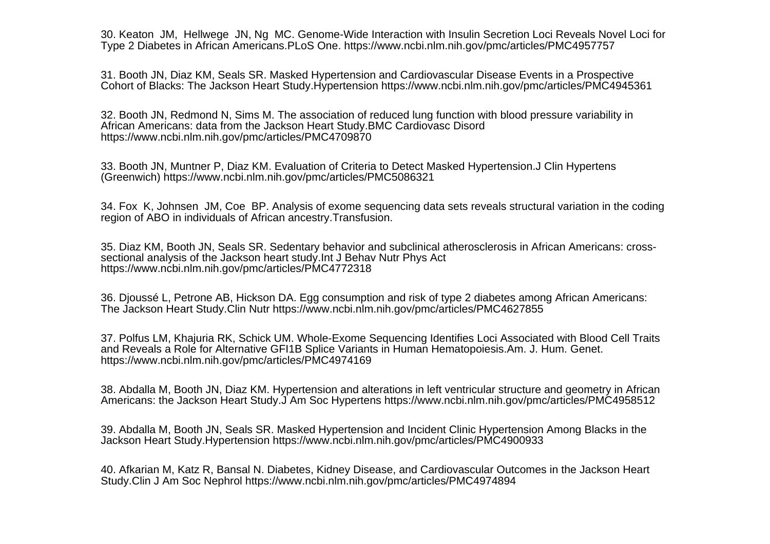30. Keaton JM, Hellwege JN, Ng MC. Genome-Wide Interaction with Insulin Secretion Loci Reveals Novel Loci forType 2 Diabetes in African Americans.PLoS One. https://www.ncbi.nlm.nih.gov/pmc/articles/PMC4957757

31. Booth JN, Diaz KM, Seals SR. Masked Hypertension and Cardiovascular Disease Events in a ProspectiveCohort of Blacks: The Jackson Heart Study.Hypertension https://www.ncbi.nlm.nih.gov/pmc/articles/PMC4945361

32. Booth JN, Redmond N, Sims M. The association of reduced lung function with blood pressure variability inAfrican Americans: data from the Jackson Heart Study.BMC Cardiovasc Disordhttps://www.ncbi.nlm.nih.gov/pmc/articles/PMC4709870

33. Booth JN, Muntner P, Diaz KM. Evaluation of Criteria to Detect Masked Hypertension.J Clin Hypertens(Greenwich) https://www.ncbi.nlm.nih.gov/pmc/articles/PMC5086321

34. Fox K, Johnsen JM, Coe BP. Analysis of exome sequencing data sets reveals structural variation in the codingregion of ABO in individuals of African ancestry.Transfusion.

35. Diaz KM, Booth JN, Seals SR. Sedentary behavior and subclinical atherosclerosis in African Americans: crosssectional analysis of the Jackson heart study.Int J Behav Nutr Phys Acthttps://www.ncbi.nlm.nih.gov/pmc/articles/PMC4772318

36. Djoussé L, Petrone AB, Hickson DA. Egg consumption and risk of type 2 diabetes among African Americans:The Jackson Heart Study.Clin Nutr https://www.ncbi.nlm.nih.gov/pmc/articles/PMC4627855

37. Polfus LM, Khajuria RK, Schick UM. Whole-Exome Sequencing Identifies Loci Associated with Blood Cell Traitsand Reveals a Role for Alternative GFI1B Splice Variants in Human Hematopoiesis.Am. J. Hum. Genet.https://www.ncbi.nlm.nih.gov/pmc/articles/PMC4974169

38. Abdalla M, Booth JN, Diaz KM. Hypertension and alterations in left ventricular structure and geometry in AfricanAmericans: the Jackson Heart Study.J Am Soc Hypertens https://www.ncbi.nlm.nih.gov/pmc/articles/PMC4958512

39. Abdalla M, Booth JN, Seals SR. Masked Hypertension and Incident Clinic Hypertension Among Blacks in theJackson Heart Study.Hypertension https://www.ncbi.nlm.nih.gov/pmc/articles/PMC4900933

40. Afkarian M, Katz R, Bansal N. Diabetes, Kidney Disease, and Cardiovascular Outcomes in the Jackson HeartStudy.Clin J Am Soc Nephrol https://www.ncbi.nlm.nih.gov/pmc/articles/PMC4974894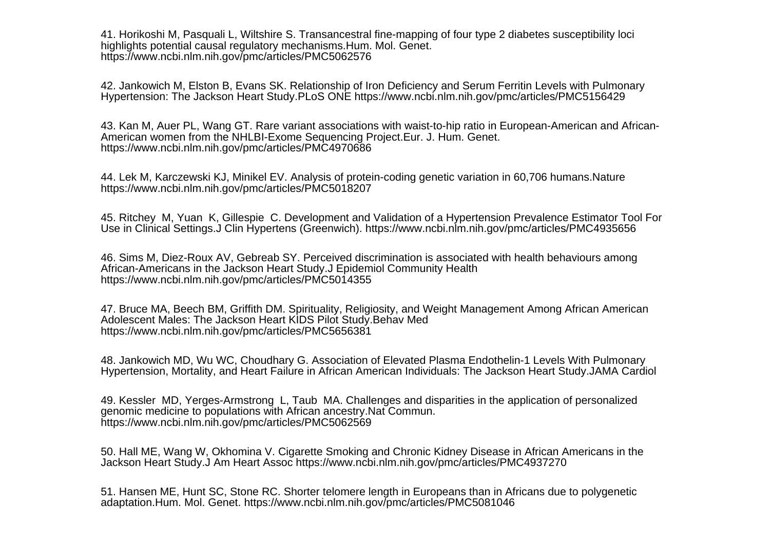41. Horikoshi M, Pasquali L, Wiltshire S. Transancestral fine-mapping of four type 2 diabetes susceptibility locihighlights potential causal regulatory mechanisms.Hum. Mol. Genet.https://www.ncbi.nlm.nih.gov/pmc/articles/PMC5062576

42. Jankowich M, Elston B, Evans SK. Relationship of Iron Deficiency and Serum Ferritin Levels with PulmonaryHypertension: The Jackson Heart Study.PLoS ONE https://www.ncbi.nlm.nih.gov/pmc/articles/PMC5156429

43. Kan M, Auer PL, Wang GT. Rare variant associations with waist-to-hip ratio in European-American and African-American women from the NHLBI-Exome Sequencing Project.Eur. J. Hum. Genet.https://www.ncbi.nlm.nih.gov/pmc/articles/PMC4970686

44. Lek M, Karczewski KJ, Minikel EV. Analysis of protein-coding genetic variation in 60,706 humans.Naturehttps://www.ncbi.nlm.nih.gov/pmc/articles/PMC5018207

45. Ritchey M, Yuan K, Gillespie C. Development and Validation of a Hypertension Prevalence Estimator Tool ForUse in Clinical Settings.J Clin Hypertens (Greenwich). https://www.ncbi.nlm.nih.gov/pmc/articles/PMC4935656

46. Sims M, Diez-Roux AV, Gebreab SY. Perceived discrimination is associated with health behaviours amongAfrican-Americans in the Jackson Heart Study.J Epidemiol Community Healthhttps://www.ncbi.nlm.nih.gov/pmc/articles/PMC5014355

47. Bruce MA, Beech BM, Griffith DM. Spirituality, Religiosity, and Weight Management Among African AmericanAdolescent Males: The Jackson Heart KIDS Pilot Study.Behav Medhttps://www.ncbi.nlm.nih.gov/pmc/articles/PMC5656381

48. Jankowich MD, Wu WC, Choudhary G. Association of Elevated Plasma Endothelin-1 Levels With PulmonaryHypertension, Mortality, and Heart Failure in African American Individuals: The Jackson Heart Study.JAMA Cardiol

49. Kessler MD, Yerges-Armstrong L, Taub MA. Challenges and disparities in the application of personalizedgenomic medicine to populations with African ancestry.Nat Commun.https://www.ncbi.nlm.nih.gov/pmc/articles/PMC5062569

50. Hall ME, Wang W, Okhomina V. Cigarette Smoking and Chronic Kidney Disease in African Americans in theJackson Heart Study.J Am Heart Assoc https://www.ncbi.nlm.nih.gov/pmc/articles/PMC4937270

51. Hansen ME, Hunt SC, Stone RC. Shorter telomere length in Europeans than in Africans due to polygeneticadaptation.Hum. Mol. Genet. https://www.ncbi.nlm.nih.gov/pmc/articles/PMC5081046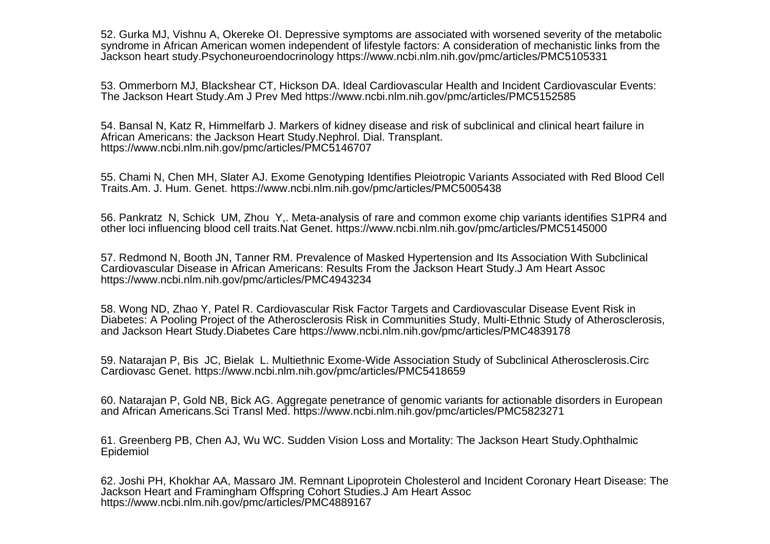52. Gurka MJ, Vishnu A, Okereke OI. Depressive symptoms are associated with worsened severity of the metabolic syndrome in African American women independent of lifestyle factors: A consideration of mechanistic links from theJackson heart study.Psychoneuroendocrinology https://www.ncbi.nlm.nih.gov/pmc/articles/PMC5105331

53. Ommerborn MJ, Blackshear CT, Hickson DA. Ideal Cardiovascular Health and Incident Cardiovascular Events:The Jackson Heart Study.Am J Prev Med https://www.ncbi.nlm.nih.gov/pmc/articles/PMC5152585

54. Bansal N, Katz R, Himmelfarb J. Markers of kidney disease and risk of subclinical and clinical heart failure inAfrican Americans: the Jackson Heart Study.Nephrol. Dial. Transplant.https://www.ncbi.nlm.nih.gov/pmc/articles/PMC5146707

55. Chami N, Chen MH, Slater AJ. Exome Genotyping Identifies Pleiotropic Variants Associated with Red Blood CellTraits.Am. J. Hum. Genet. https://www.ncbi.nlm.nih.gov/pmc/articles/PMC5005438

56. Pankratz N, Schick UM, Zhou Y,. Meta-analysis of rare and common exome chip variants identifies S1PR4 andother loci influencing blood cell traits.Nat Genet. https://www.ncbi.nlm.nih.gov/pmc/articles/PMC5145000

57. Redmond N, Booth JN, Tanner RM. Prevalence of Masked Hypertension and Its Association With SubclinicalCardiovascular Disease in African Americans: Results From the Jackson Heart Study.J Am Heart Assochttps://www.ncbi.nlm.nih.gov/pmc/articles/PMC4943234

58. Wong ND, Zhao Y, Patel R. Cardiovascular Risk Factor Targets and Cardiovascular Disease Event Risk in Diabetes: A Pooling Project of the Atherosclerosis Risk in Communities Study, Multi-Ethnic Study of Atherosclerosis,and Jackson Heart Study.Diabetes Care https://www.ncbi.nlm.nih.gov/pmc/articles/PMC4839178

59. Natarajan P, Bis JC, Bielak L. Multiethnic Exome-Wide Association Study of Subclinical Atherosclerosis.CircCardiovasc Genet. https://www.ncbi.nlm.nih.gov/pmc/articles/PMC5418659

60. Natarajan P, Gold NB, Bick AG. Aggregate penetrance of genomic variants for actionable disorders in Europeanand African Americans.Sci Transl Med. https://www.ncbi.nlm.nih.gov/pmc/articles/PMC5823271

61. Greenberg PB, Chen AJ, Wu WC. Sudden Vision Loss and Mortality: The Jackson Heart Study.OphthalmicEpidemiol

62. Joshi PH, Khokhar AA, Massaro JM. Remnant Lipoprotein Cholesterol and Incident Coronary Heart Disease: TheJackson Heart and Framingham Offspring Cohort Studies.J Am Heart Assochttps://www.ncbi.nlm.nih.gov/pmc/articles/PMC4889167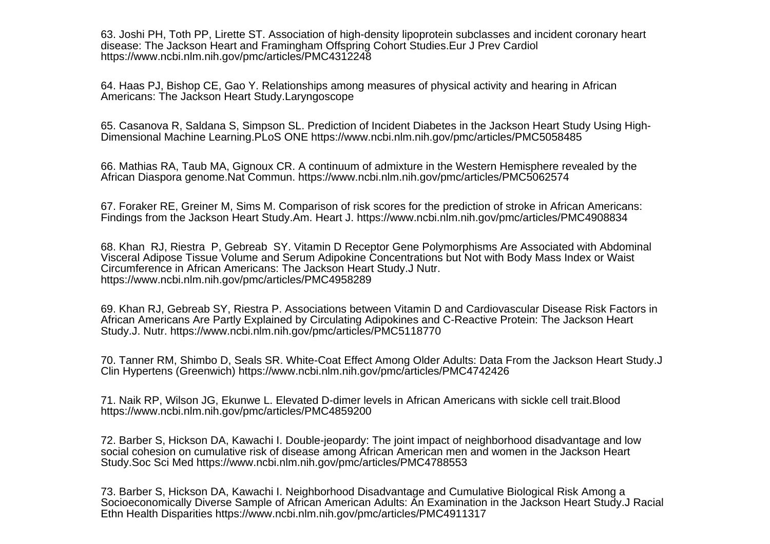63. Joshi PH, Toth PP, Lirette ST. Association of high-density lipoprotein subclasses and incident coronary heartdisease: The Jackson Heart and Framingham Offspring Cohort Studies.Eur J Prev Cardiolhttps://www.ncbi.nlm.nih.gov/pmc/articles/PMC4312248

64. Haas PJ, Bishop CE, Gao Y. Relationships among measures of physical activity and hearing in AfricanAmericans: The Jackson Heart Study.Laryngoscope

65. Casanova R, Saldana S, Simpson SL. Prediction of Incident Diabetes in the Jackson Heart Study Using High-Dimensional Machine Learning.PLoS ONE https://www.ncbi.nlm.nih.gov/pmc/articles/PMC5058485

66. Mathias RA, Taub MA, Gignoux CR. A continuum of admixture in the Western Hemisphere revealed by theAfrican Diaspora genome.Nat Commun. https://www.ncbi.nlm.nih.gov/pmc/articles/PMC5062574

67. Foraker RE, Greiner M, Sims M. Comparison of risk scores for the prediction of stroke in African Americans:Findings from the Jackson Heart Study.Am. Heart J. https://www.ncbi.nlm.nih.gov/pmc/articles/PMC4908834

68. Khan RJ, Riestra P, Gebreab SY. Vitamin D Receptor Gene Polymorphisms Are Associated with AbdominalVisceral Adipose Tissue Volume and Serum Adipokine Concentrations but Not with Body Mass Index or WaistCircumference in African Americans: The Jackson Heart Study.J Nutr.https://www.ncbi.nlm.nih.gov/pmc/articles/PMC4958289

69. Khan RJ, Gebreab SY, Riestra P. Associations between Vitamin D and Cardiovascular Disease Risk Factors inAfrican Americans Are Partly Explained by Circulating Adipokines and C-Reactive Protein: The Jackson HeartStudy.J. Nutr. https://www.ncbi.nlm.nih.gov/pmc/articles/PMC5118770

70. Tanner RM, Shimbo D, Seals SR. White-Coat Effect Among Older Adults: Data From the Jackson Heart Study.JClin Hypertens (Greenwich) https://www.ncbi.nlm.nih.gov/pmc/articles/PMC4742426

71. Naik RP, Wilson JG, Ekunwe L. Elevated D-dimer levels in African Americans with sickle cell trait.Bloodhttps://www.ncbi.nlm.nih.gov/pmc/articles/PMC4859200

72. Barber S, Hickson DA, Kawachi I. Double-jeopardy: The joint impact of neighborhood disadvantage and low social cohesion on cumulative risk of disease among African American men and women in the Jackson HeartStudy.Soc Sci Med https://www.ncbi.nlm.nih.gov/pmc/articles/PMC4788553

73. Barber S, Hickson DA, Kawachi I. Neighborhood Disadvantage and Cumulative Biological Risk Among a Socioeconomically Diverse Sample of African American Adults: An Examination in the Jackson Heart Study.J RacialEthn Health Disparities https://www.ncbi.nlm.nih.gov/pmc/articles/PMC4911317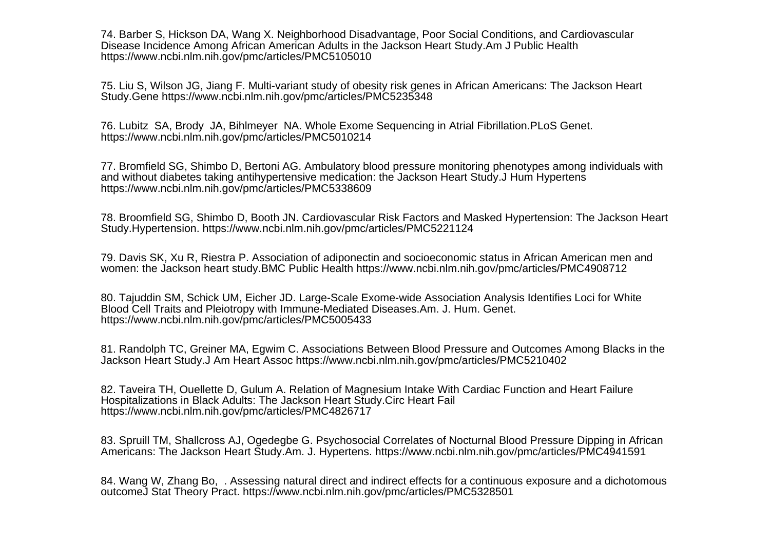74. Barber S, Hickson DA, Wang X. Neighborhood Disadvantage, Poor Social Conditions, and CardiovascularDisease Incidence Among African American Adults in the Jackson Heart Study.Am J Public Healthhttps://www.ncbi.nlm.nih.gov/pmc/articles/PMC5105010

75. Liu S, Wilson JG, Jiang F. Multi-variant study of obesity risk genes in African Americans: The Jackson HeartStudy.Gene https://www.ncbi.nlm.nih.gov/pmc/articles/PMC5235348

76. Lubitz SA, Brody JA, Bihlmeyer NA. Whole Exome Sequencing in Atrial Fibrillation.PLoS Genet.https://www.ncbi.nlm.nih.gov/pmc/articles/PMC5010214

77. Bromfield SG, Shimbo D, Bertoni AG. Ambulatory blood pressure monitoring phenotypes among individuals withand without diabetes taking antihypertensive medication: the Jackson Heart Study.J Hum Hypertenshttps://www.ncbi.nlm.nih.gov/pmc/articles/PMC5338609

78. Broomfield SG, Shimbo D, Booth JN. Cardiovascular Risk Factors and Masked Hypertension: The Jackson HeartStudy.Hypertension. https://www.ncbi.nlm.nih.gov/pmc/articles/PMC5221124

79. Davis SK, Xu R, Riestra P. Association of adiponectin and socioeconomic status in African American men andwomen: the Jackson heart study.BMC Public Health https://www.ncbi.nlm.nih.gov/pmc/articles/PMC4908712

80. Tajuddin SM, Schick UM, Eicher JD. Large-Scale Exome-wide Association Analysis Identifies Loci for WhiteBlood Cell Traits and Pleiotropy with Immune-Mediated Diseases.Am. J. Hum. Genet.https://www.ncbi.nlm.nih.gov/pmc/articles/PMC5005433

81. Randolph TC, Greiner MA, Egwim C. Associations Between Blood Pressure and Outcomes Among Blacks in theJackson Heart Study.J Am Heart Assoc https://www.ncbi.nlm.nih.gov/pmc/articles/PMC5210402

82. Taveira TH, Ouellette D, Gulum A. Relation of Magnesium Intake With Cardiac Function and Heart FailureHospitalizations in Black Adults: The Jackson Heart Study.Circ Heart Failhttps://www.ncbi.nlm.nih.gov/pmc/articles/PMC4826717

83. Spruill TM, Shallcross AJ, Ogedegbe G. Psychosocial Correlates of Nocturnal Blood Pressure Dipping in AfricanAmericans: The Jackson Heart Study.Am. J. Hypertens. https://www.ncbi.nlm.nih.gov/pmc/articles/PMC4941591

84. Wang W, Zhang Bo, . Assessing natural direct and indirect effects for a continuous exposure and a dichotomousoutcomeJ Stat Theory Pract. https://www.ncbi.nlm.nih.gov/pmc/articles/PMC5328501